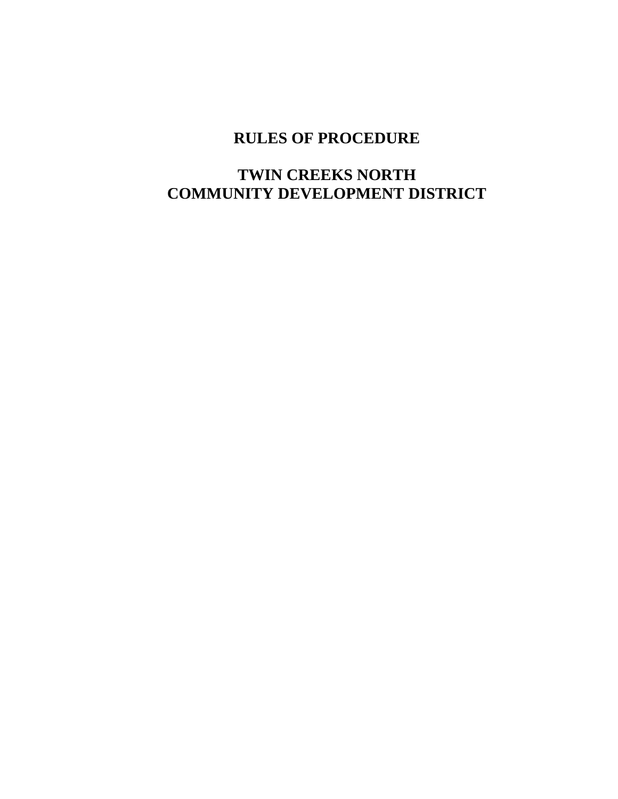# **RULES OF PROCEDURE**

## **TWIN CREEKS NORTH COMMUNITY DEVELOPMENT DISTRICT**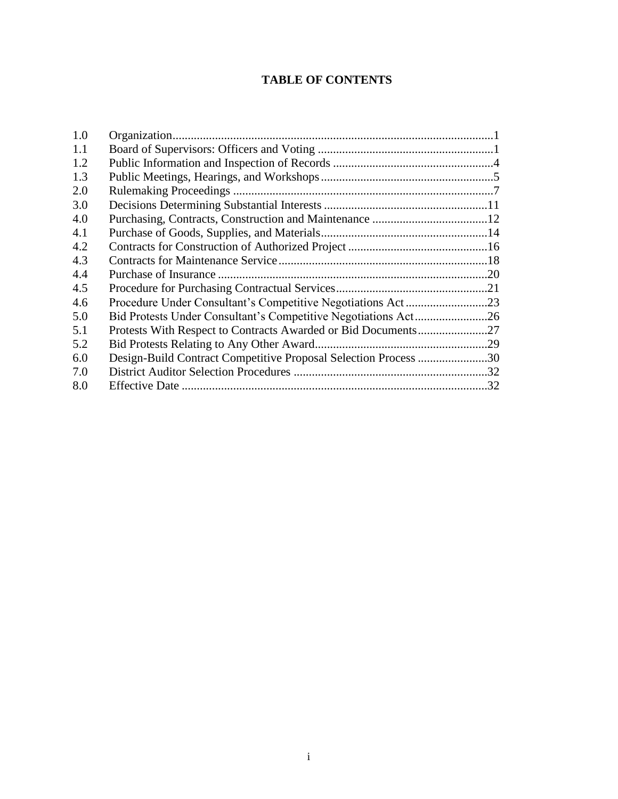### **TABLE OF CONTENTS**

| 1.0 |                                                                 |    |
|-----|-----------------------------------------------------------------|----|
| 1.1 |                                                                 |    |
| 1.2 |                                                                 |    |
| 1.3 |                                                                 |    |
| 2.0 |                                                                 |    |
| 3.0 |                                                                 |    |
| 4.0 |                                                                 |    |
| 4.1 |                                                                 |    |
| 4.2 |                                                                 |    |
| 4.3 |                                                                 |    |
| 4.4 |                                                                 |    |
| 4.5 |                                                                 |    |
| 4.6 |                                                                 |    |
| 5.0 |                                                                 |    |
| 5.1 |                                                                 |    |
| 5.2 |                                                                 |    |
| 6.0 | Design-Build Contract Competitive Proposal Selection Process 30 |    |
| 7.0 |                                                                 |    |
| 8.0 |                                                                 | 32 |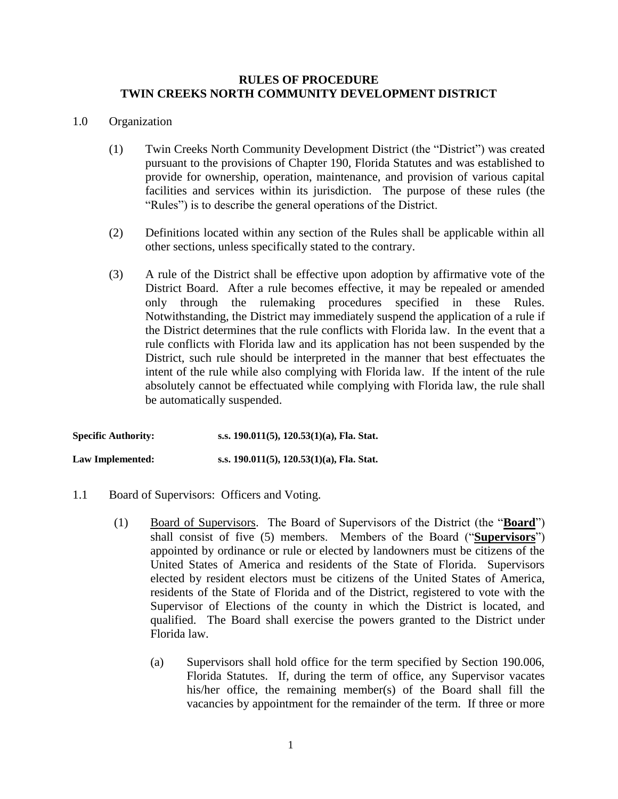#### **RULES OF PROCEDURE TWIN CREEKS NORTH COMMUNITY DEVELOPMENT DISTRICT**

#### 1.0 Organization

- (1) Twin Creeks North Community Development District (the "District") was created pursuant to the provisions of Chapter 190, Florida Statutes and was established to provide for ownership, operation, maintenance, and provision of various capital facilities and services within its jurisdiction. The purpose of these rules (the "Rules") is to describe the general operations of the District.
- (2) Definitions located within any section of the Rules shall be applicable within all other sections, unless specifically stated to the contrary.
- (3) A rule of the District shall be effective upon adoption by affirmative vote of the District Board. After a rule becomes effective, it may be repealed or amended only through the rulemaking procedures specified in these Rules. Notwithstanding, the District may immediately suspend the application of a rule if the District determines that the rule conflicts with Florida law. In the event that a rule conflicts with Florida law and its application has not been suspended by the District, such rule should be interpreted in the manner that best effectuates the intent of the rule while also complying with Florida law. If the intent of the rule absolutely cannot be effectuated while complying with Florida law, the rule shall be automatically suspended.

**Specific Authority: s.s. 190.011(5), 120.53(1)(a), Fla. Stat. Law Implemented: s.s. 190.011(5), 120.53(1)(a), Fla. Stat.**

- 1.1 Board of Supervisors: Officers and Voting.
	- (1) Board of Supervisors. The Board of Supervisors of the District (the "**Board**") shall consist of five (5) members. Members of the Board ("**Supervisors**") appointed by ordinance or rule or elected by landowners must be citizens of the United States of America and residents of the State of Florida. Supervisors elected by resident electors must be citizens of the United States of America, residents of the State of Florida and of the District, registered to vote with the Supervisor of Elections of the county in which the District is located, and qualified. The Board shall exercise the powers granted to the District under Florida law.
		- (a) Supervisors shall hold office for the term specified by Section 190.006, Florida Statutes. If, during the term of office, any Supervisor vacates his/her office, the remaining member(s) of the Board shall fill the vacancies by appointment for the remainder of the term. If three or more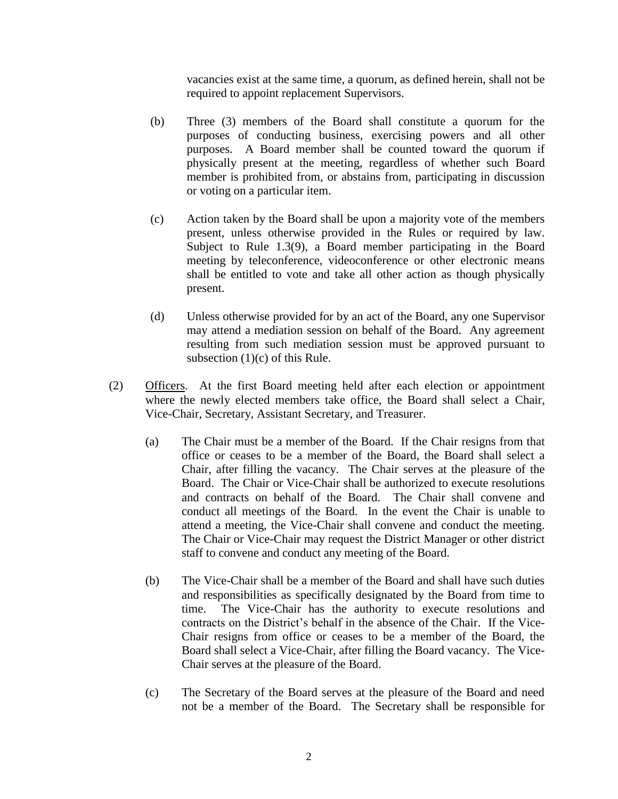vacancies exist at the same time, a quorum, as defined herein, shall not be required to appoint replacement Supervisors.

- (b) Three (3) members of the Board shall constitute a quorum for the purposes of conducting business, exercising powers and all other purposes. A Board member shall be counted toward the quorum if physically present at the meeting, regardless of whether such Board member is prohibited from, or abstains from, participating in discussion or voting on a particular item.
- (c) Action taken by the Board shall be upon a majority vote of the members present, unless otherwise provided in the Rules or required by law. Subject to Rule 1.3(9), a Board member participating in the Board meeting by teleconference, videoconference or other electronic means shall be entitled to vote and take all other action as though physically present.
- (d) Unless otherwise provided for by an act of the Board, any one Supervisor may attend a mediation session on behalf of the Board. Any agreement resulting from such mediation session must be approved pursuant to subsection (1)(c) of this Rule.
- (2) Officers. At the first Board meeting held after each election or appointment where the newly elected members take office, the Board shall select a Chair, Vice-Chair, Secretary, Assistant Secretary, and Treasurer.
	- (a) The Chair must be a member of the Board. If the Chair resigns from that office or ceases to be a member of the Board, the Board shall select a Chair, after filling the vacancy. The Chair serves at the pleasure of the Board. The Chair or Vice-Chair shall be authorized to execute resolutions and contracts on behalf of the Board. The Chair shall convene and conduct all meetings of the Board. In the event the Chair is unable to attend a meeting, the Vice-Chair shall convene and conduct the meeting. The Chair or Vice-Chair may request the District Manager or other district staff to convene and conduct any meeting of the Board.
	- (b) The Vice-Chair shall be a member of the Board and shall have such duties and responsibilities as specifically designated by the Board from time to time. The Vice-Chair has the authority to execute resolutions and contracts on the District's behalf in the absence of the Chair. If the Vice-Chair resigns from office or ceases to be a member of the Board, the Board shall select a Vice-Chair, after filling the Board vacancy. The Vice-Chair serves at the pleasure of the Board.
	- (c) The Secretary of the Board serves at the pleasure of the Board and need not be a member of the Board. The Secretary shall be responsible for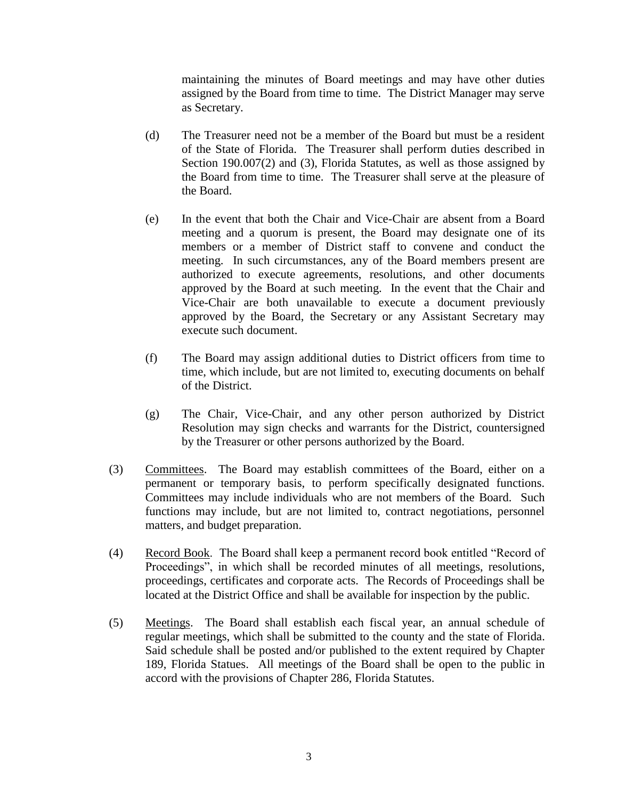maintaining the minutes of Board meetings and may have other duties assigned by the Board from time to time. The District Manager may serve as Secretary.

- (d) The Treasurer need not be a member of the Board but must be a resident of the State of Florida. The Treasurer shall perform duties described in Section 190.007(2) and (3), Florida Statutes, as well as those assigned by the Board from time to time. The Treasurer shall serve at the pleasure of the Board.
- (e) In the event that both the Chair and Vice-Chair are absent from a Board meeting and a quorum is present, the Board may designate one of its members or a member of District staff to convene and conduct the meeting. In such circumstances, any of the Board members present are authorized to execute agreements, resolutions, and other documents approved by the Board at such meeting. In the event that the Chair and Vice-Chair are both unavailable to execute a document previously approved by the Board, the Secretary or any Assistant Secretary may execute such document.
- (f) The Board may assign additional duties to District officers from time to time, which include, but are not limited to, executing documents on behalf of the District.
- (g) The Chair, Vice-Chair, and any other person authorized by District Resolution may sign checks and warrants for the District, countersigned by the Treasurer or other persons authorized by the Board.
- (3) Committees. The Board may establish committees of the Board, either on a permanent or temporary basis, to perform specifically designated functions. Committees may include individuals who are not members of the Board. Such functions may include, but are not limited to, contract negotiations, personnel matters, and budget preparation.
- (4) Record Book. The Board shall keep a permanent record book entitled "Record of Proceedings", in which shall be recorded minutes of all meetings, resolutions, proceedings, certificates and corporate acts. The Records of Proceedings shall be located at the District Office and shall be available for inspection by the public.
- (5) Meetings. The Board shall establish each fiscal year, an annual schedule of regular meetings, which shall be submitted to the county and the state of Florida. Said schedule shall be posted and/or published to the extent required by Chapter 189, Florida Statues. All meetings of the Board shall be open to the public in accord with the provisions of Chapter 286, Florida Statutes.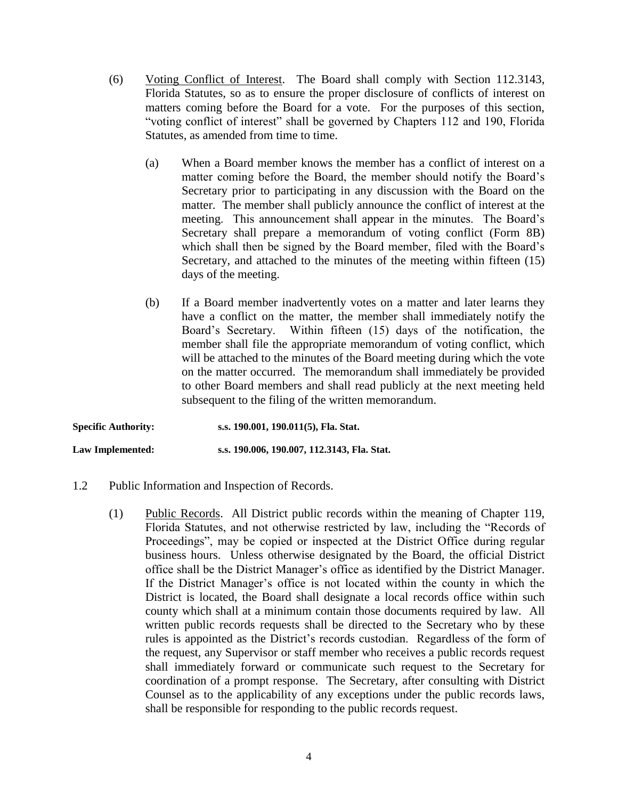- (6) Voting Conflict of Interest. The Board shall comply with Section 112.3143, Florida Statutes, so as to ensure the proper disclosure of conflicts of interest on matters coming before the Board for a vote. For the purposes of this section, "voting conflict of interest" shall be governed by Chapters 112 and 190, Florida Statutes, as amended from time to time.
	- (a) When a Board member knows the member has a conflict of interest on a matter coming before the Board, the member should notify the Board's Secretary prior to participating in any discussion with the Board on the matter. The member shall publicly announce the conflict of interest at the meeting. This announcement shall appear in the minutes. The Board's Secretary shall prepare a memorandum of voting conflict (Form 8B) which shall then be signed by the Board member, filed with the Board's Secretary, and attached to the minutes of the meeting within fifteen (15) days of the meeting.
	- (b) If a Board member inadvertently votes on a matter and later learns they have a conflict on the matter, the member shall immediately notify the Board's Secretary. Within fifteen (15) days of the notification, the member shall file the appropriate memorandum of voting conflict, which will be attached to the minutes of the Board meeting during which the vote on the matter occurred. The memorandum shall immediately be provided to other Board members and shall read publicly at the next meeting held subsequent to the filing of the written memorandum.

**Specific Authority: s.s. 190.001, 190.011(5), Fla. Stat. Law Implemented: s.s. 190.006, 190.007, 112.3143, Fla. Stat.**

- 1.2 Public Information and Inspection of Records.
	- (1) Public Records. All District public records within the meaning of Chapter 119, Florida Statutes, and not otherwise restricted by law, including the "Records of Proceedings", may be copied or inspected at the District Office during regular business hours. Unless otherwise designated by the Board, the official District office shall be the District Manager's office as identified by the District Manager. If the District Manager's office is not located within the county in which the District is located, the Board shall designate a local records office within such county which shall at a minimum contain those documents required by law. All written public records requests shall be directed to the Secretary who by these rules is appointed as the District's records custodian. Regardless of the form of the request, any Supervisor or staff member who receives a public records request shall immediately forward or communicate such request to the Secretary for coordination of a prompt response. The Secretary, after consulting with District Counsel as to the applicability of any exceptions under the public records laws, shall be responsible for responding to the public records request.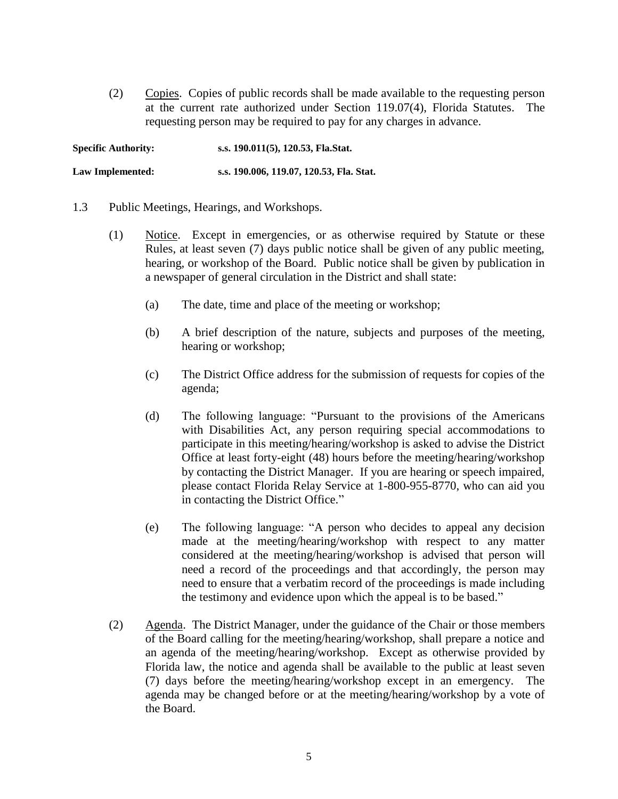(2) Copies. Copies of public records shall be made available to the requesting person at the current rate authorized under Section 119.07(4), Florida Statutes. The requesting person may be required to pay for any charges in advance.

**Specific Authority: s.s. 190.011(5), 120.53, Fla.Stat. Law Implemented: s.s. 190.006, 119.07, 120.53, Fla. Stat.**

- 1.3 Public Meetings, Hearings, and Workshops.
	- (1) Notice. Except in emergencies, or as otherwise required by Statute or these Rules, at least seven (7) days public notice shall be given of any public meeting, hearing, or workshop of the Board. Public notice shall be given by publication in a newspaper of general circulation in the District and shall state:
		- (a) The date, time and place of the meeting or workshop;
		- (b) A brief description of the nature, subjects and purposes of the meeting, hearing or workshop;
		- (c) The District Office address for the submission of requests for copies of the agenda;
		- (d) The following language: "Pursuant to the provisions of the Americans with Disabilities Act, any person requiring special accommodations to participate in this meeting/hearing/workshop is asked to advise the District Office at least forty-eight (48) hours before the meeting/hearing/workshop by contacting the District Manager. If you are hearing or speech impaired, please contact Florida Relay Service at 1-800-955-8770, who can aid you in contacting the District Office."
		- (e) The following language: "A person who decides to appeal any decision made at the meeting/hearing/workshop with respect to any matter considered at the meeting/hearing/workshop is advised that person will need a record of the proceedings and that accordingly, the person may need to ensure that a verbatim record of the proceedings is made including the testimony and evidence upon which the appeal is to be based."
	- (2) Agenda. The District Manager, under the guidance of the Chair or those members of the Board calling for the meeting/hearing/workshop, shall prepare a notice and an agenda of the meeting/hearing/workshop. Except as otherwise provided by Florida law, the notice and agenda shall be available to the public at least seven (7) days before the meeting/hearing/workshop except in an emergency. The agenda may be changed before or at the meeting/hearing/workshop by a vote of the Board.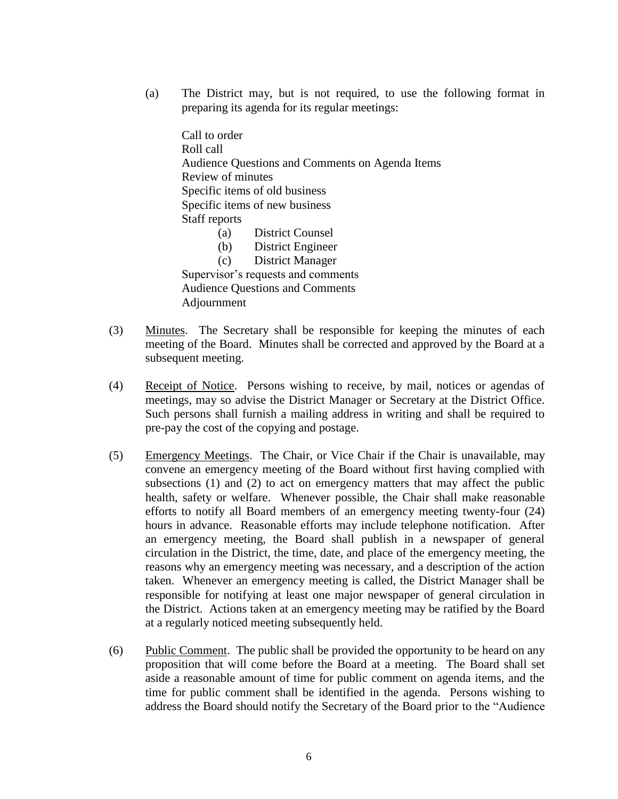(a) The District may, but is not required, to use the following format in preparing its agenda for its regular meetings:

Call to order Roll call Audience Questions and Comments on Agenda Items Review of minutes Specific items of old business Specific items of new business Staff reports (a) District Counsel (b) District Engineer

(c) District Manager

Supervisor's requests and comments Audience Questions and Comments Adjournment

- (3) Minutes. The Secretary shall be responsible for keeping the minutes of each meeting of the Board. Minutes shall be corrected and approved by the Board at a subsequent meeting.
- (4) Receipt of Notice. Persons wishing to receive, by mail, notices or agendas of meetings, may so advise the District Manager or Secretary at the District Office. Such persons shall furnish a mailing address in writing and shall be required to pre-pay the cost of the copying and postage.
- (5) Emergency Meetings. The Chair, or Vice Chair if the Chair is unavailable, may convene an emergency meeting of the Board without first having complied with subsections (1) and (2) to act on emergency matters that may affect the public health, safety or welfare. Whenever possible, the Chair shall make reasonable efforts to notify all Board members of an emergency meeting twenty-four (24) hours in advance. Reasonable efforts may include telephone notification. After an emergency meeting, the Board shall publish in a newspaper of general circulation in the District, the time, date, and place of the emergency meeting, the reasons why an emergency meeting was necessary, and a description of the action taken. Whenever an emergency meeting is called, the District Manager shall be responsible for notifying at least one major newspaper of general circulation in the District. Actions taken at an emergency meeting may be ratified by the Board at a regularly noticed meeting subsequently held.
- (6) Public Comment. The public shall be provided the opportunity to be heard on any proposition that will come before the Board at a meeting. The Board shall set aside a reasonable amount of time for public comment on agenda items, and the time for public comment shall be identified in the agenda. Persons wishing to address the Board should notify the Secretary of the Board prior to the "Audience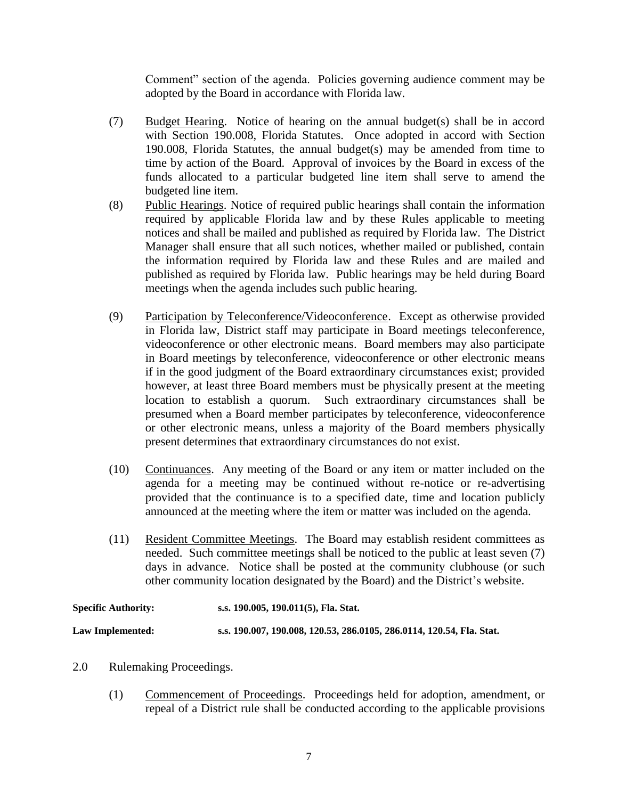Comment" section of the agenda. Policies governing audience comment may be adopted by the Board in accordance with Florida law.

- (7) Budget Hearing. Notice of hearing on the annual budget(s) shall be in accord with Section 190.008, Florida Statutes. Once adopted in accord with Section 190.008, Florida Statutes, the annual budget(s) may be amended from time to time by action of the Board. Approval of invoices by the Board in excess of the funds allocated to a particular budgeted line item shall serve to amend the budgeted line item.
- (8) Public Hearings. Notice of required public hearings shall contain the information required by applicable Florida law and by these Rules applicable to meeting notices and shall be mailed and published as required by Florida law. The District Manager shall ensure that all such notices, whether mailed or published, contain the information required by Florida law and these Rules and are mailed and published as required by Florida law. Public hearings may be held during Board meetings when the agenda includes such public hearing.
- (9) Participation by Teleconference/Videoconference. Except as otherwise provided in Florida law, District staff may participate in Board meetings teleconference, videoconference or other electronic means. Board members may also participate in Board meetings by teleconference, videoconference or other electronic means if in the good judgment of the Board extraordinary circumstances exist; provided however, at least three Board members must be physically present at the meeting location to establish a quorum. Such extraordinary circumstances shall be presumed when a Board member participates by teleconference, videoconference or other electronic means, unless a majority of the Board members physically present determines that extraordinary circumstances do not exist.
- (10) Continuances. Any meeting of the Board or any item or matter included on the agenda for a meeting may be continued without re-notice or re-advertising provided that the continuance is to a specified date, time and location publicly announced at the meeting where the item or matter was included on the agenda.
- (11) Resident Committee Meetings. The Board may establish resident committees as needed. Such committee meetings shall be noticed to the public at least seven (7) days in advance. Notice shall be posted at the community clubhouse (or such other community location designated by the Board) and the District's website.

| <b>Specific Authority:</b> | s.s. 190.005, 190.011(5), Fla. Stat.                                  |
|----------------------------|-----------------------------------------------------------------------|
| Law Implemented:           | s.s. 190.007, 190.008, 120.53, 286.0105, 286.0114, 120.54, Fla. Stat. |

- 2.0 Rulemaking Proceedings.
	- (1) Commencement of Proceedings. Proceedings held for adoption, amendment, or repeal of a District rule shall be conducted according to the applicable provisions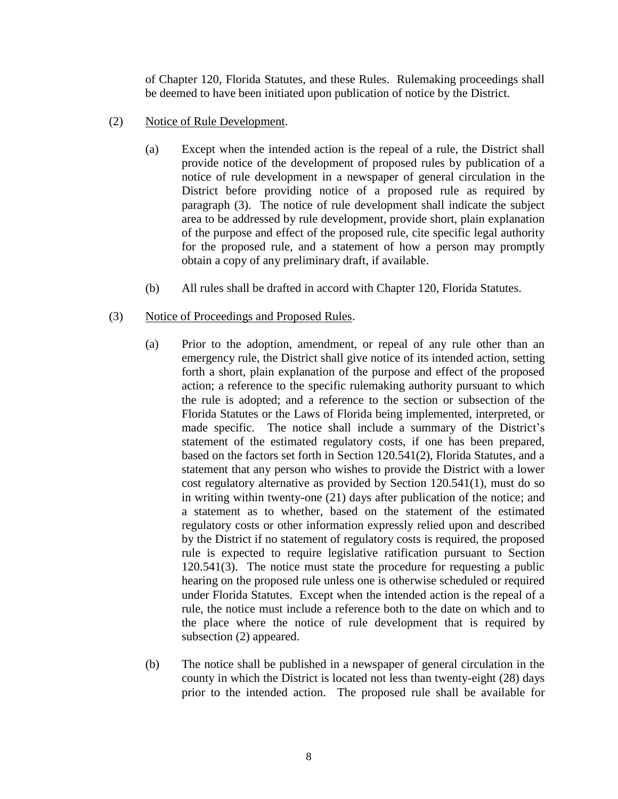of Chapter 120, Florida Statutes, and these Rules. Rulemaking proceedings shall be deemed to have been initiated upon publication of notice by the District.

- (2) Notice of Rule Development.
	- (a) Except when the intended action is the repeal of a rule, the District shall provide notice of the development of proposed rules by publication of a notice of rule development in a newspaper of general circulation in the District before providing notice of a proposed rule as required by paragraph (3). The notice of rule development shall indicate the subject area to be addressed by rule development, provide short, plain explanation of the purpose and effect of the proposed rule, cite specific legal authority for the proposed rule, and a statement of how a person may promptly obtain a copy of any preliminary draft, if available.
	- (b) All rules shall be drafted in accord with Chapter 120, Florida Statutes.
- (3) Notice of Proceedings and Proposed Rules.
	- (a) Prior to the adoption, amendment, or repeal of any rule other than an emergency rule, the District shall give notice of its intended action, setting forth a short, plain explanation of the purpose and effect of the proposed action; a reference to the specific rulemaking authority pursuant to which the rule is adopted; and a reference to the section or subsection of the Florida Statutes or the Laws of Florida being implemented, interpreted, or made specific. The notice shall include a summary of the District's statement of the estimated regulatory costs, if one has been prepared, based on the factors set forth in Section 120.541(2), Florida Statutes, and a statement that any person who wishes to provide the District with a lower cost regulatory alternative as provided by Section 120.541(1), must do so in writing within twenty-one (21) days after publication of the notice; and a statement as to whether, based on the statement of the estimated regulatory costs or other information expressly relied upon and described by the District if no statement of regulatory costs is required, the proposed rule is expected to require legislative ratification pursuant to Section 120.541(3). The notice must state the procedure for requesting a public hearing on the proposed rule unless one is otherwise scheduled or required under Florida Statutes. Except when the intended action is the repeal of a rule, the notice must include a reference both to the date on which and to the place where the notice of rule development that is required by subsection (2) appeared.
	- (b) The notice shall be published in a newspaper of general circulation in the county in which the District is located not less than twenty-eight (28) days prior to the intended action. The proposed rule shall be available for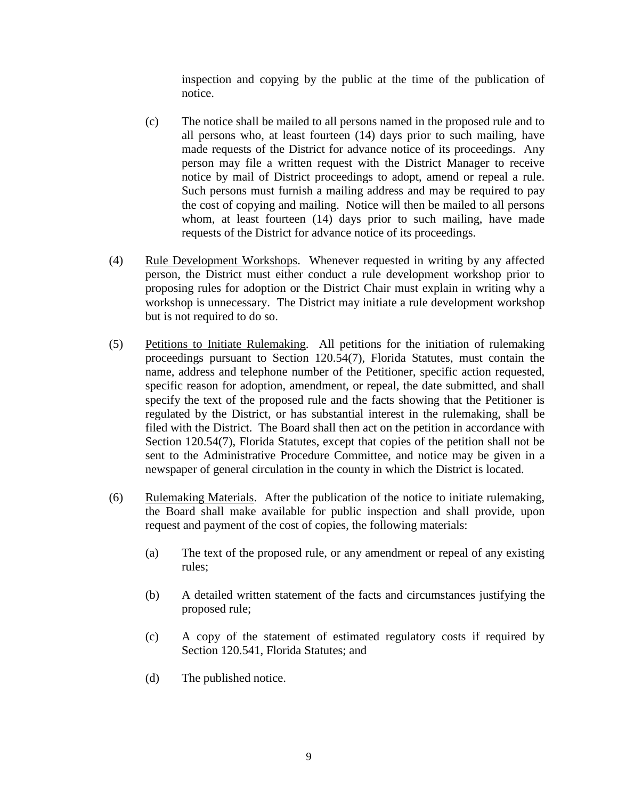inspection and copying by the public at the time of the publication of notice.

- (c) The notice shall be mailed to all persons named in the proposed rule and to all persons who, at least fourteen (14) days prior to such mailing, have made requests of the District for advance notice of its proceedings. Any person may file a written request with the District Manager to receive notice by mail of District proceedings to adopt, amend or repeal a rule. Such persons must furnish a mailing address and may be required to pay the cost of copying and mailing. Notice will then be mailed to all persons whom, at least fourteen (14) days prior to such mailing, have made requests of the District for advance notice of its proceedings.
- (4) Rule Development Workshops. Whenever requested in writing by any affected person, the District must either conduct a rule development workshop prior to proposing rules for adoption or the District Chair must explain in writing why a workshop is unnecessary. The District may initiate a rule development workshop but is not required to do so.
- (5) Petitions to Initiate Rulemaking. All petitions for the initiation of rulemaking proceedings pursuant to Section 120.54(7), Florida Statutes, must contain the name, address and telephone number of the Petitioner, specific action requested, specific reason for adoption, amendment, or repeal, the date submitted, and shall specify the text of the proposed rule and the facts showing that the Petitioner is regulated by the District, or has substantial interest in the rulemaking, shall be filed with the District. The Board shall then act on the petition in accordance with Section 120.54(7), Florida Statutes, except that copies of the petition shall not be sent to the Administrative Procedure Committee, and notice may be given in a newspaper of general circulation in the county in which the District is located.
- (6) Rulemaking Materials. After the publication of the notice to initiate rulemaking, the Board shall make available for public inspection and shall provide, upon request and payment of the cost of copies, the following materials:
	- (a) The text of the proposed rule, or any amendment or repeal of any existing rules;
	- (b) A detailed written statement of the facts and circumstances justifying the proposed rule;
	- (c) A copy of the statement of estimated regulatory costs if required by Section 120.541, Florida Statutes; and
	- (d) The published notice.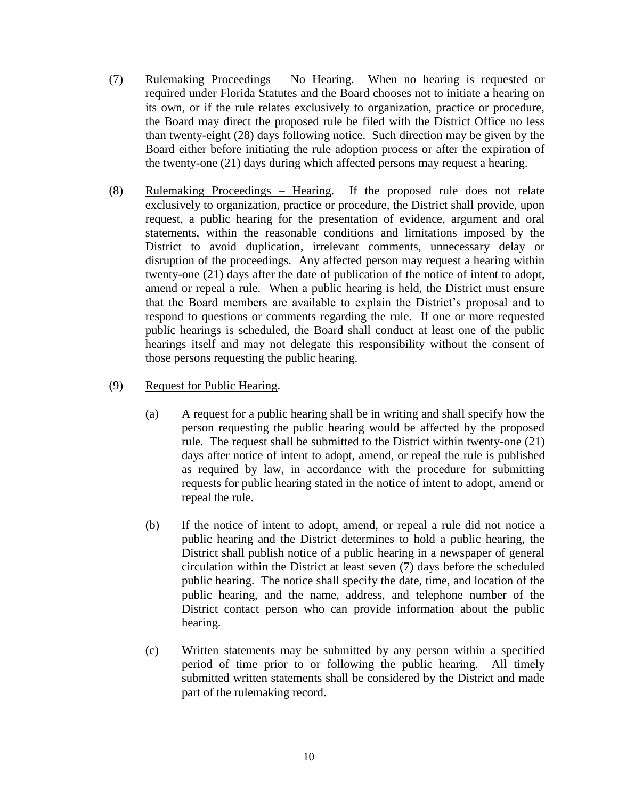- (7) Rulemaking Proceedings No Hearing. When no hearing is requested or required under Florida Statutes and the Board chooses not to initiate a hearing on its own, or if the rule relates exclusively to organization, practice or procedure, the Board may direct the proposed rule be filed with the District Office no less than twenty-eight (28) days following notice. Such direction may be given by the Board either before initiating the rule adoption process or after the expiration of the twenty-one (21) days during which affected persons may request a hearing.
- (8) Rulemaking Proceedings Hearing. If the proposed rule does not relate exclusively to organization, practice or procedure, the District shall provide, upon request, a public hearing for the presentation of evidence, argument and oral statements, within the reasonable conditions and limitations imposed by the District to avoid duplication, irrelevant comments, unnecessary delay or disruption of the proceedings. Any affected person may request a hearing within twenty-one (21) days after the date of publication of the notice of intent to adopt, amend or repeal a rule. When a public hearing is held, the District must ensure that the Board members are available to explain the District's proposal and to respond to questions or comments regarding the rule. If one or more requested public hearings is scheduled, the Board shall conduct at least one of the public hearings itself and may not delegate this responsibility without the consent of those persons requesting the public hearing.
- (9) Request for Public Hearing.
	- (a) A request for a public hearing shall be in writing and shall specify how the person requesting the public hearing would be affected by the proposed rule. The request shall be submitted to the District within twenty-one (21) days after notice of intent to adopt, amend, or repeal the rule is published as required by law, in accordance with the procedure for submitting requests for public hearing stated in the notice of intent to adopt, amend or repeal the rule.
	- (b) If the notice of intent to adopt, amend, or repeal a rule did not notice a public hearing and the District determines to hold a public hearing, the District shall publish notice of a public hearing in a newspaper of general circulation within the District at least seven (7) days before the scheduled public hearing. The notice shall specify the date, time, and location of the public hearing, and the name, address, and telephone number of the District contact person who can provide information about the public hearing.
	- (c) Written statements may be submitted by any person within a specified period of time prior to or following the public hearing. All timely submitted written statements shall be considered by the District and made part of the rulemaking record.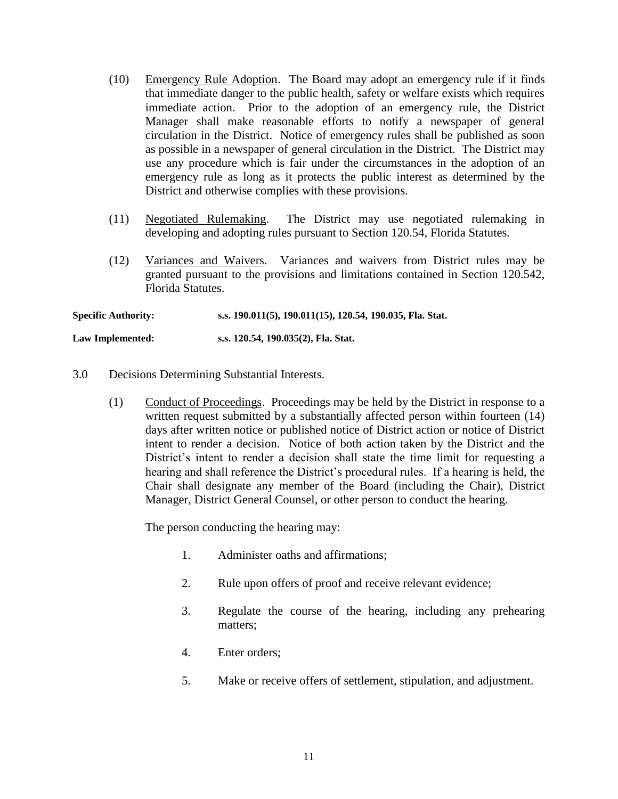- (10) Emergency Rule Adoption. The Board may adopt an emergency rule if it finds that immediate danger to the public health, safety or welfare exists which requires immediate action. Prior to the adoption of an emergency rule, the District Manager shall make reasonable efforts to notify a newspaper of general circulation in the District. Notice of emergency rules shall be published as soon as possible in a newspaper of general circulation in the District. The District may use any procedure which is fair under the circumstances in the adoption of an emergency rule as long as it protects the public interest as determined by the District and otherwise complies with these provisions.
- (11) Negotiated Rulemaking. The District may use negotiated rulemaking in developing and adopting rules pursuant to Section 120.54, Florida Statutes.
- (12) Variances and Waivers. Variances and waivers from District rules may be granted pursuant to the provisions and limitations contained in Section 120.542, Florida Statutes.

**Specific Authority: s.s. 190.011(5), 190.011(15), 120.54, 190.035, Fla. Stat.**

**Law Implemented: s.s. 120.54, 190.035(2), Fla. Stat.**

- 3.0 Decisions Determining Substantial Interests.
	- (1) Conduct of Proceedings. Proceedings may be held by the District in response to a written request submitted by a substantially affected person within fourteen (14) days after written notice or published notice of District action or notice of District intent to render a decision. Notice of both action taken by the District and the District's intent to render a decision shall state the time limit for requesting a hearing and shall reference the District's procedural rules. If a hearing is held, the Chair shall designate any member of the Board (including the Chair), District Manager, District General Counsel, or other person to conduct the hearing.

The person conducting the hearing may:

- 1. Administer oaths and affirmations;
- 2. Rule upon offers of proof and receive relevant evidence;
- 3. Regulate the course of the hearing, including any prehearing matters;
- 4. Enter orders;
- 5. Make or receive offers of settlement, stipulation, and adjustment.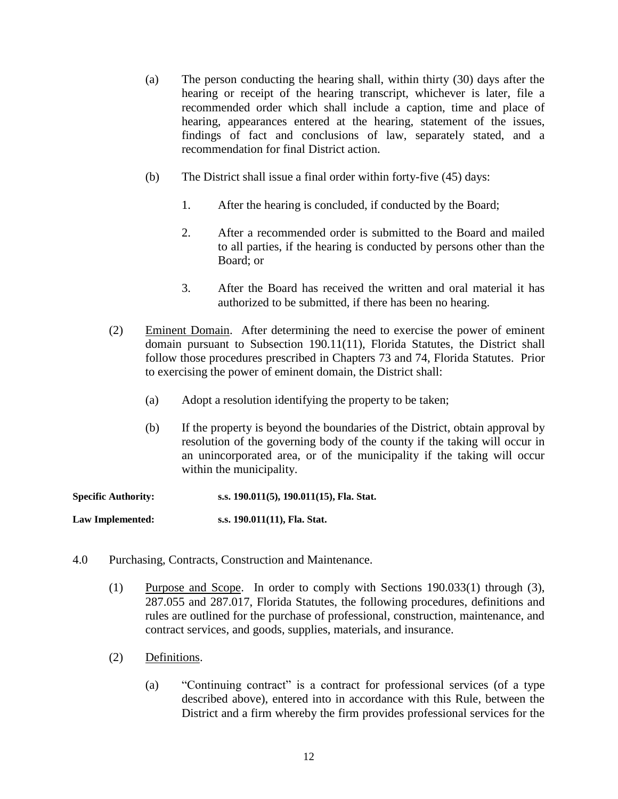- (a) The person conducting the hearing shall, within thirty (30) days after the hearing or receipt of the hearing transcript, whichever is later, file a recommended order which shall include a caption, time and place of hearing, appearances entered at the hearing, statement of the issues, findings of fact and conclusions of law, separately stated, and a recommendation for final District action.
- (b) The District shall issue a final order within forty-five (45) days:
	- 1. After the hearing is concluded, if conducted by the Board;
	- 2. After a recommended order is submitted to the Board and mailed to all parties, if the hearing is conducted by persons other than the Board; or
	- 3. After the Board has received the written and oral material it has authorized to be submitted, if there has been no hearing.
- (2) Eminent Domain. After determining the need to exercise the power of eminent domain pursuant to Subsection 190.11(11), Florida Statutes, the District shall follow those procedures prescribed in Chapters 73 and 74, Florida Statutes. Prior to exercising the power of eminent domain, the District shall:
	- (a) Adopt a resolution identifying the property to be taken;
	- (b) If the property is beyond the boundaries of the District, obtain approval by resolution of the governing body of the county if the taking will occur in an unincorporated area, or of the municipality if the taking will occur within the municipality.

| <b>Specific Authority:</b> | s.s. 190.011(5), 190.011(15), Fla. Stat. |
|----------------------------|------------------------------------------|
| Law Implemented:           | s.s. 190.011(11), Fla. Stat.             |

- 4.0 Purchasing, Contracts, Construction and Maintenance.
	- (1) Purpose and Scope. In order to comply with Sections 190.033(1) through (3), 287.055 and 287.017, Florida Statutes, the following procedures, definitions and rules are outlined for the purchase of professional, construction, maintenance, and contract services, and goods, supplies, materials, and insurance.
	- (2) Definitions.
		- (a) "Continuing contract" is a contract for professional services (of a type described above), entered into in accordance with this Rule, between the District and a firm whereby the firm provides professional services for the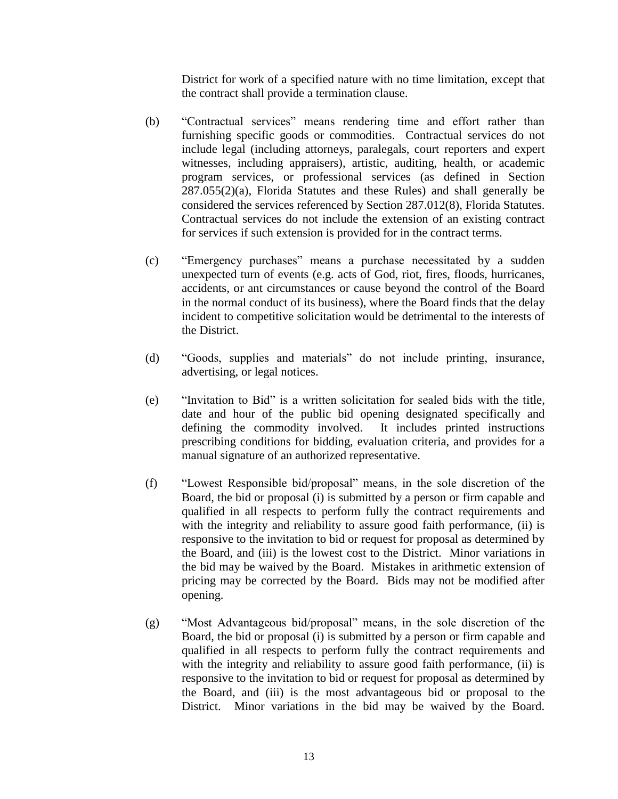District for work of a specified nature with no time limitation, except that the contract shall provide a termination clause.

- (b) "Contractual services" means rendering time and effort rather than furnishing specific goods or commodities. Contractual services do not include legal (including attorneys, paralegals, court reporters and expert witnesses, including appraisers), artistic, auditing, health, or academic program services, or professional services (as defined in Section  $287.055(2)(a)$ , Florida Statutes and these Rules) and shall generally be considered the services referenced by Section 287.012(8), Florida Statutes. Contractual services do not include the extension of an existing contract for services if such extension is provided for in the contract terms.
- (c) "Emergency purchases" means a purchase necessitated by a sudden unexpected turn of events (e.g. acts of God, riot, fires, floods, hurricanes, accidents, or ant circumstances or cause beyond the control of the Board in the normal conduct of its business), where the Board finds that the delay incident to competitive solicitation would be detrimental to the interests of the District.
- (d) "Goods, supplies and materials" do not include printing, insurance, advertising, or legal notices.
- (e) "Invitation to Bid" is a written solicitation for sealed bids with the title, date and hour of the public bid opening designated specifically and defining the commodity involved. It includes printed instructions prescribing conditions for bidding, evaluation criteria, and provides for a manual signature of an authorized representative.
- (f) "Lowest Responsible bid/proposal" means, in the sole discretion of the Board, the bid or proposal (i) is submitted by a person or firm capable and qualified in all respects to perform fully the contract requirements and with the integrity and reliability to assure good faith performance, (ii) is responsive to the invitation to bid or request for proposal as determined by the Board, and (iii) is the lowest cost to the District. Minor variations in the bid may be waived by the Board. Mistakes in arithmetic extension of pricing may be corrected by the Board. Bids may not be modified after opening.
- (g) "Most Advantageous bid/proposal" means, in the sole discretion of the Board, the bid or proposal (i) is submitted by a person or firm capable and qualified in all respects to perform fully the contract requirements and with the integrity and reliability to assure good faith performance, (ii) is responsive to the invitation to bid or request for proposal as determined by the Board, and (iii) is the most advantageous bid or proposal to the District. Minor variations in the bid may be waived by the Board.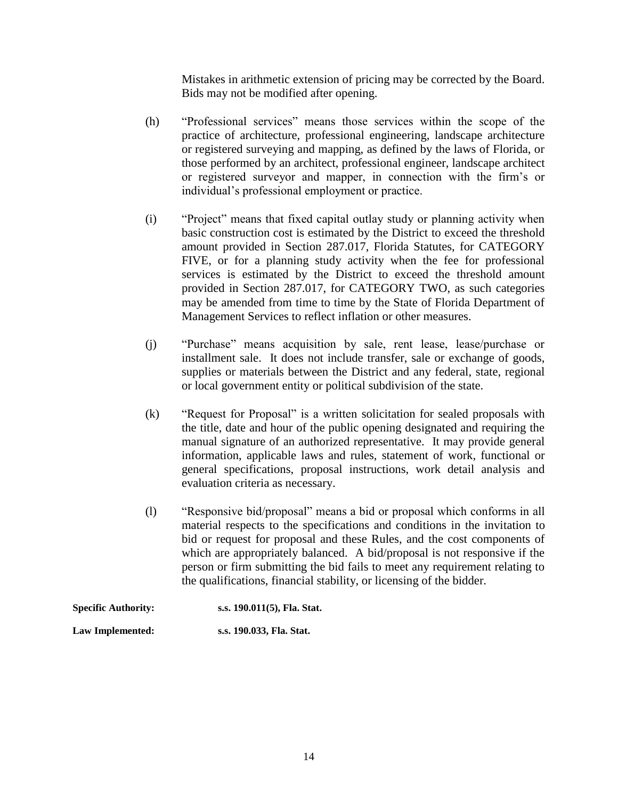Mistakes in arithmetic extension of pricing may be corrected by the Board. Bids may not be modified after opening.

- (h) "Professional services" means those services within the scope of the practice of architecture, professional engineering, landscape architecture or registered surveying and mapping, as defined by the laws of Florida, or those performed by an architect, professional engineer, landscape architect or registered surveyor and mapper, in connection with the firm's or individual's professional employment or practice.
- (i) "Project" means that fixed capital outlay study or planning activity when basic construction cost is estimated by the District to exceed the threshold amount provided in Section 287.017, Florida Statutes, for CATEGORY FIVE, or for a planning study activity when the fee for professional services is estimated by the District to exceed the threshold amount provided in Section 287.017, for CATEGORY TWO, as such categories may be amended from time to time by the State of Florida Department of Management Services to reflect inflation or other measures.
- (j) "Purchase" means acquisition by sale, rent lease, lease/purchase or installment sale. It does not include transfer, sale or exchange of goods, supplies or materials between the District and any federal, state, regional or local government entity or political subdivision of the state.
- (k) "Request for Proposal" is a written solicitation for sealed proposals with the title, date and hour of the public opening designated and requiring the manual signature of an authorized representative. It may provide general information, applicable laws and rules, statement of work, functional or general specifications, proposal instructions, work detail analysis and evaluation criteria as necessary.
- (l) "Responsive bid/proposal" means a bid or proposal which conforms in all material respects to the specifications and conditions in the invitation to bid or request for proposal and these Rules, and the cost components of which are appropriately balanced. A bid/proposal is not responsive if the person or firm submitting the bid fails to meet any requirement relating to the qualifications, financial stability, or licensing of the bidder.

| <b>Specific Authority:</b> | s.s. 190.011(5), Fla. Stat. |
|----------------------------|-----------------------------|
| Law Implemented:           | s.s. 190.033, Fla. Stat.    |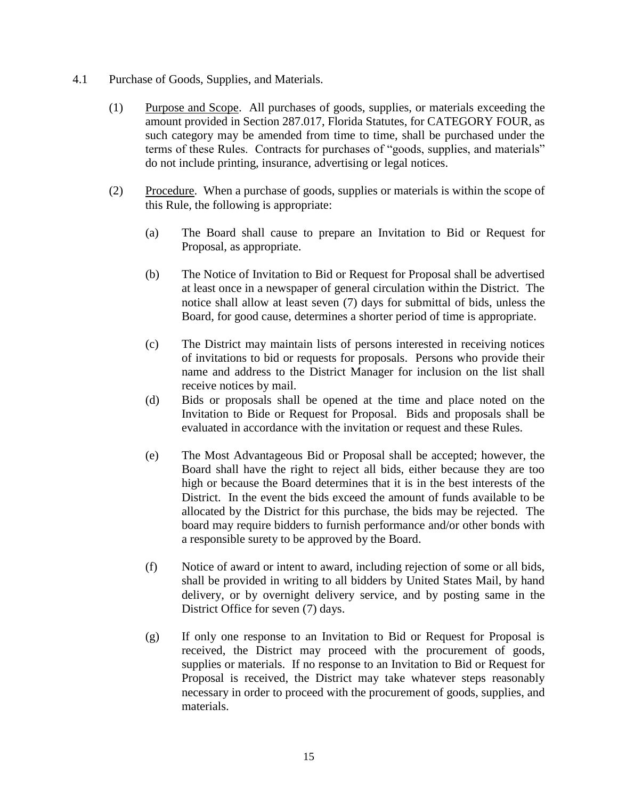- 4.1 Purchase of Goods, Supplies, and Materials.
	- (1) Purpose and Scope. All purchases of goods, supplies, or materials exceeding the amount provided in Section 287.017, Florida Statutes, for CATEGORY FOUR, as such category may be amended from time to time, shall be purchased under the terms of these Rules. Contracts for purchases of "goods, supplies, and materials" do not include printing, insurance, advertising or legal notices.
	- (2) Procedure. When a purchase of goods, supplies or materials is within the scope of this Rule, the following is appropriate:
		- (a) The Board shall cause to prepare an Invitation to Bid or Request for Proposal, as appropriate.
		- (b) The Notice of Invitation to Bid or Request for Proposal shall be advertised at least once in a newspaper of general circulation within the District. The notice shall allow at least seven (7) days for submittal of bids, unless the Board, for good cause, determines a shorter period of time is appropriate.
		- (c) The District may maintain lists of persons interested in receiving notices of invitations to bid or requests for proposals. Persons who provide their name and address to the District Manager for inclusion on the list shall receive notices by mail.
		- (d) Bids or proposals shall be opened at the time and place noted on the Invitation to Bide or Request for Proposal. Bids and proposals shall be evaluated in accordance with the invitation or request and these Rules.
		- (e) The Most Advantageous Bid or Proposal shall be accepted; however, the Board shall have the right to reject all bids, either because they are too high or because the Board determines that it is in the best interests of the District. In the event the bids exceed the amount of funds available to be allocated by the District for this purchase, the bids may be rejected. The board may require bidders to furnish performance and/or other bonds with a responsible surety to be approved by the Board.
		- (f) Notice of award or intent to award, including rejection of some or all bids, shall be provided in writing to all bidders by United States Mail, by hand delivery, or by overnight delivery service, and by posting same in the District Office for seven (7) days.
		- (g) If only one response to an Invitation to Bid or Request for Proposal is received, the District may proceed with the procurement of goods, supplies or materials. If no response to an Invitation to Bid or Request for Proposal is received, the District may take whatever steps reasonably necessary in order to proceed with the procurement of goods, supplies, and materials.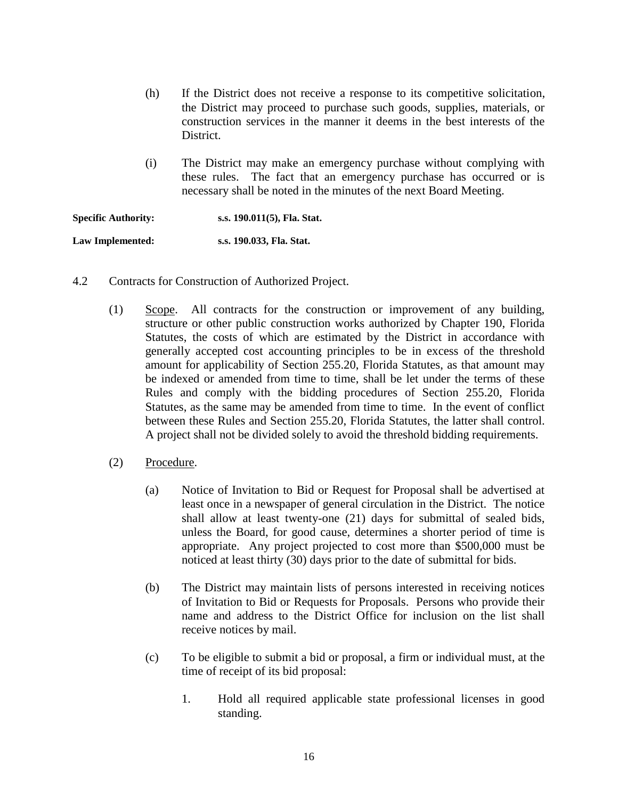- (h) If the District does not receive a response to its competitive solicitation, the District may proceed to purchase such goods, supplies, materials, or construction services in the manner it deems in the best interests of the District.
- (i) The District may make an emergency purchase without complying with these rules. The fact that an emergency purchase has occurred or is necessary shall be noted in the minutes of the next Board Meeting.

**Specific Authority: s.s. 190.011(5), Fla. Stat. Law Implemented: s.s. 190.033, Fla. Stat.**

- 4.2 Contracts for Construction of Authorized Project.
	- (1) Scope. All contracts for the construction or improvement of any building, structure or other public construction works authorized by Chapter 190, Florida Statutes, the costs of which are estimated by the District in accordance with generally accepted cost accounting principles to be in excess of the threshold amount for applicability of Section 255.20, Florida Statutes, as that amount may be indexed or amended from time to time, shall be let under the terms of these Rules and comply with the bidding procedures of Section 255.20, Florida Statutes, as the same may be amended from time to time. In the event of conflict between these Rules and Section 255.20, Florida Statutes, the latter shall control. A project shall not be divided solely to avoid the threshold bidding requirements.
	- (2) Procedure.
		- (a) Notice of Invitation to Bid or Request for Proposal shall be advertised at least once in a newspaper of general circulation in the District. The notice shall allow at least twenty-one (21) days for submittal of sealed bids, unless the Board, for good cause, determines a shorter period of time is appropriate. Any project projected to cost more than \$500,000 must be noticed at least thirty (30) days prior to the date of submittal for bids.
		- (b) The District may maintain lists of persons interested in receiving notices of Invitation to Bid or Requests for Proposals. Persons who provide their name and address to the District Office for inclusion on the list shall receive notices by mail.
		- (c) To be eligible to submit a bid or proposal, a firm or individual must, at the time of receipt of its bid proposal:
			- 1. Hold all required applicable state professional licenses in good standing.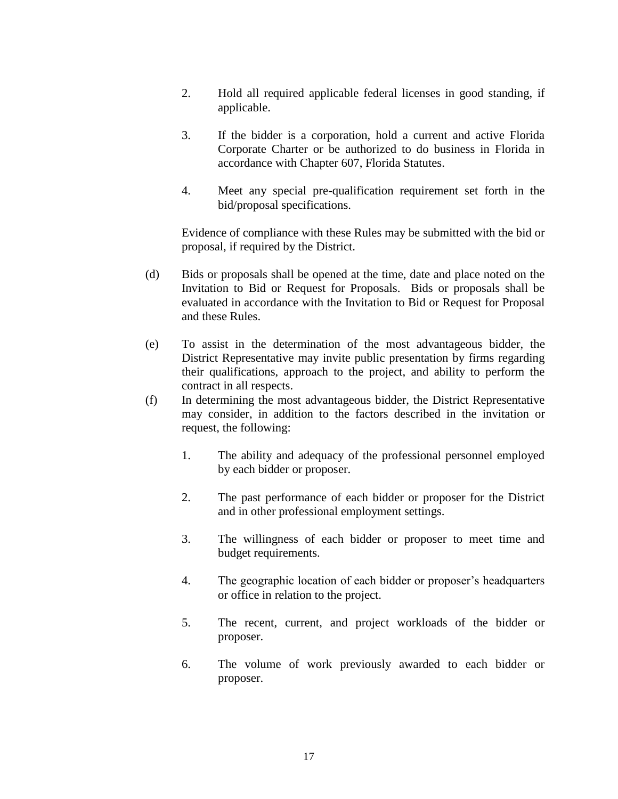- 2. Hold all required applicable federal licenses in good standing, if applicable.
- 3. If the bidder is a corporation, hold a current and active Florida Corporate Charter or be authorized to do business in Florida in accordance with Chapter 607, Florida Statutes.
- 4. Meet any special pre-qualification requirement set forth in the bid/proposal specifications.

Evidence of compliance with these Rules may be submitted with the bid or proposal, if required by the District.

- (d) Bids or proposals shall be opened at the time, date and place noted on the Invitation to Bid or Request for Proposals. Bids or proposals shall be evaluated in accordance with the Invitation to Bid or Request for Proposal and these Rules.
- (e) To assist in the determination of the most advantageous bidder, the District Representative may invite public presentation by firms regarding their qualifications, approach to the project, and ability to perform the contract in all respects.
- (f) In determining the most advantageous bidder, the District Representative may consider, in addition to the factors described in the invitation or request, the following:
	- 1. The ability and adequacy of the professional personnel employed by each bidder or proposer.
	- 2. The past performance of each bidder or proposer for the District and in other professional employment settings.
	- 3. The willingness of each bidder or proposer to meet time and budget requirements.
	- 4. The geographic location of each bidder or proposer's headquarters or office in relation to the project.
	- 5. The recent, current, and project workloads of the bidder or proposer.
	- 6. The volume of work previously awarded to each bidder or proposer.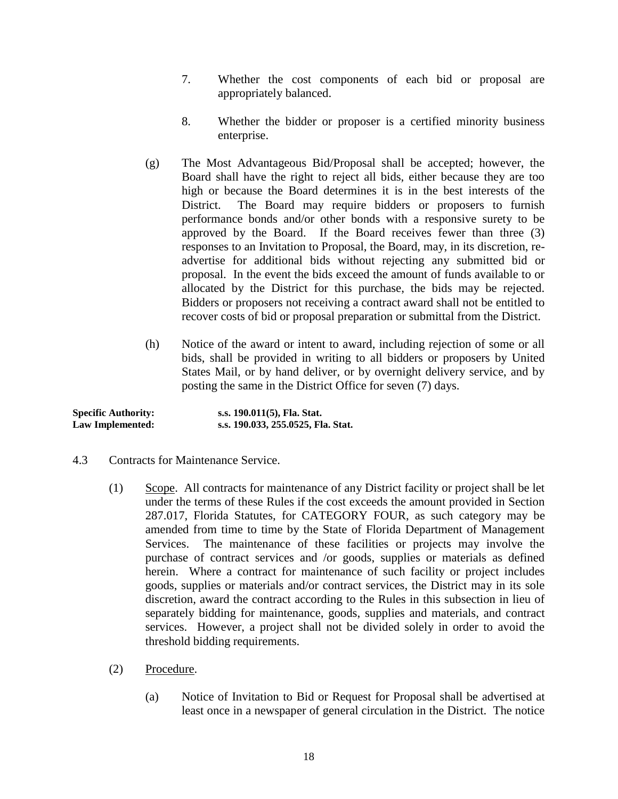- 7. Whether the cost components of each bid or proposal are appropriately balanced.
- 8. Whether the bidder or proposer is a certified minority business enterprise.
- (g) The Most Advantageous Bid/Proposal shall be accepted; however, the Board shall have the right to reject all bids, either because they are too high or because the Board determines it is in the best interests of the District. The Board may require bidders or proposers to furnish performance bonds and/or other bonds with a responsive surety to be approved by the Board. If the Board receives fewer than three (3) responses to an Invitation to Proposal, the Board, may, in its discretion, readvertise for additional bids without rejecting any submitted bid or proposal. In the event the bids exceed the amount of funds available to or allocated by the District for this purchase, the bids may be rejected. Bidders or proposers not receiving a contract award shall not be entitled to recover costs of bid or proposal preparation or submittal from the District.
- (h) Notice of the award or intent to award, including rejection of some or all bids, shall be provided in writing to all bidders or proposers by United States Mail, or by hand deliver, or by overnight delivery service, and by posting the same in the District Office for seven (7) days.

| <b>Specific Authority:</b> | s.s. 190.011(5), Fla. Stat.        |
|----------------------------|------------------------------------|
| Law Implemented:           | s.s. 190.033, 255.0525, Fla. Stat. |

- 4.3 Contracts for Maintenance Service.
	- (1) Scope. All contracts for maintenance of any District facility or project shall be let under the terms of these Rules if the cost exceeds the amount provided in Section 287.017, Florida Statutes, for CATEGORY FOUR, as such category may be amended from time to time by the State of Florida Department of Management Services. The maintenance of these facilities or projects may involve the purchase of contract services and /or goods, supplies or materials as defined herein. Where a contract for maintenance of such facility or project includes goods, supplies or materials and/or contract services, the District may in its sole discretion, award the contract according to the Rules in this subsection in lieu of separately bidding for maintenance, goods, supplies and materials, and contract services. However, a project shall not be divided solely in order to avoid the threshold bidding requirements.
	- (2) Procedure.
		- (a) Notice of Invitation to Bid or Request for Proposal shall be advertised at least once in a newspaper of general circulation in the District. The notice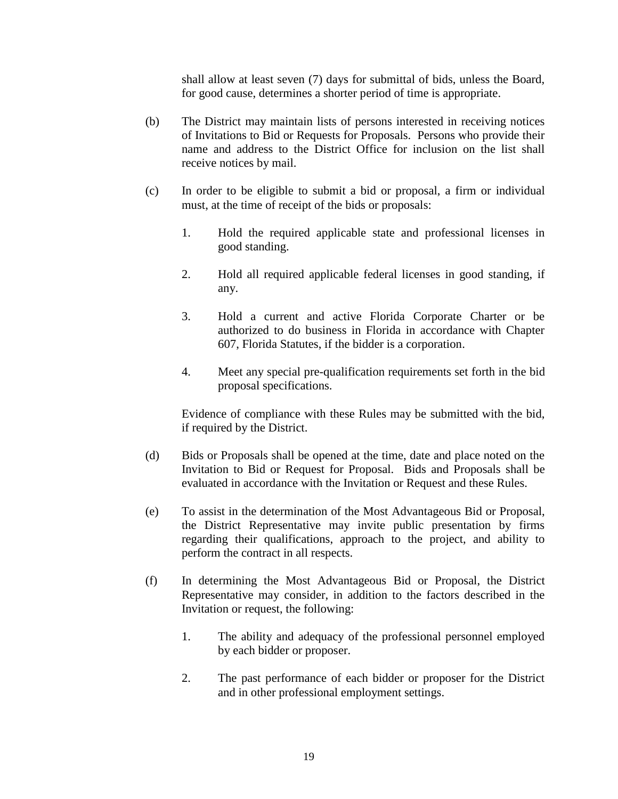shall allow at least seven (7) days for submittal of bids, unless the Board, for good cause, determines a shorter period of time is appropriate.

- (b) The District may maintain lists of persons interested in receiving notices of Invitations to Bid or Requests for Proposals. Persons who provide their name and address to the District Office for inclusion on the list shall receive notices by mail.
- (c) In order to be eligible to submit a bid or proposal, a firm or individual must, at the time of receipt of the bids or proposals:
	- 1. Hold the required applicable state and professional licenses in good standing.
	- 2. Hold all required applicable federal licenses in good standing, if any.
	- 3. Hold a current and active Florida Corporate Charter or be authorized to do business in Florida in accordance with Chapter 607, Florida Statutes, if the bidder is a corporation.
	- 4. Meet any special pre-qualification requirements set forth in the bid proposal specifications.

Evidence of compliance with these Rules may be submitted with the bid, if required by the District.

- (d) Bids or Proposals shall be opened at the time, date and place noted on the Invitation to Bid or Request for Proposal. Bids and Proposals shall be evaluated in accordance with the Invitation or Request and these Rules.
- (e) To assist in the determination of the Most Advantageous Bid or Proposal, the District Representative may invite public presentation by firms regarding their qualifications, approach to the project, and ability to perform the contract in all respects.
- (f) In determining the Most Advantageous Bid or Proposal, the District Representative may consider, in addition to the factors described in the Invitation or request, the following:
	- 1. The ability and adequacy of the professional personnel employed by each bidder or proposer.
	- 2. The past performance of each bidder or proposer for the District and in other professional employment settings.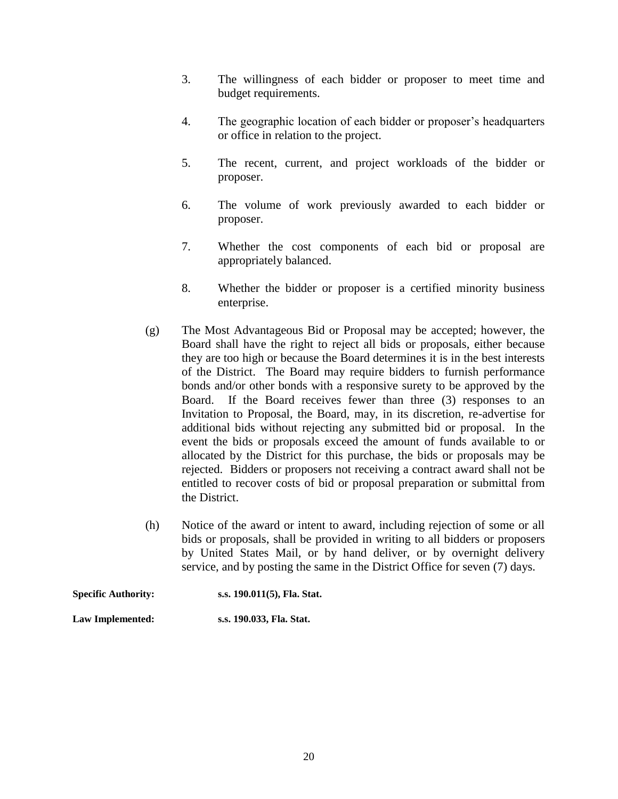- 3. The willingness of each bidder or proposer to meet time and budget requirements.
- 4. The geographic location of each bidder or proposer's headquarters or office in relation to the project.
- 5. The recent, current, and project workloads of the bidder or proposer.
- 6. The volume of work previously awarded to each bidder or proposer.
- 7. Whether the cost components of each bid or proposal are appropriately balanced.
- 8. Whether the bidder or proposer is a certified minority business enterprise.
- (g) The Most Advantageous Bid or Proposal may be accepted; however, the Board shall have the right to reject all bids or proposals, either because they are too high or because the Board determines it is in the best interests of the District. The Board may require bidders to furnish performance bonds and/or other bonds with a responsive surety to be approved by the Board. If the Board receives fewer than three (3) responses to an Invitation to Proposal, the Board, may, in its discretion, re-advertise for additional bids without rejecting any submitted bid or proposal. In the event the bids or proposals exceed the amount of funds available to or allocated by the District for this purchase, the bids or proposals may be rejected. Bidders or proposers not receiving a contract award shall not be entitled to recover costs of bid or proposal preparation or submittal from the District.
- (h) Notice of the award or intent to award, including rejection of some or all bids or proposals, shall be provided in writing to all bidders or proposers by United States Mail, or by hand deliver, or by overnight delivery service, and by posting the same in the District Office for seven (7) days.

**Specific Authority: s.s. 190.011(5), Fla. Stat.**

**Law Implemented: s.s. 190.033, Fla. Stat.**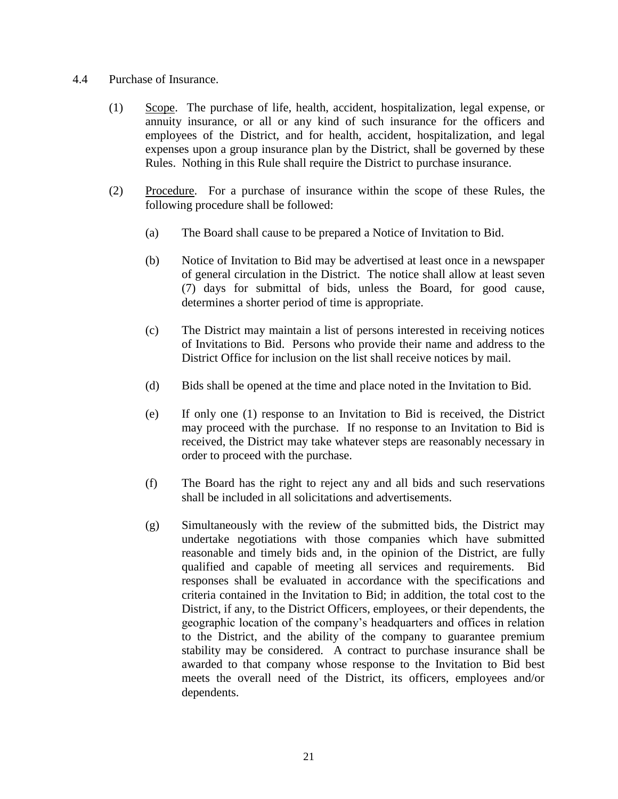#### 4.4 Purchase of Insurance.

- (1) Scope. The purchase of life, health, accident, hospitalization, legal expense, or annuity insurance, or all or any kind of such insurance for the officers and employees of the District, and for health, accident, hospitalization, and legal expenses upon a group insurance plan by the District, shall be governed by these Rules. Nothing in this Rule shall require the District to purchase insurance.
- (2) Procedure. For a purchase of insurance within the scope of these Rules, the following procedure shall be followed:
	- (a) The Board shall cause to be prepared a Notice of Invitation to Bid.
	- (b) Notice of Invitation to Bid may be advertised at least once in a newspaper of general circulation in the District. The notice shall allow at least seven (7) days for submittal of bids, unless the Board, for good cause, determines a shorter period of time is appropriate.
	- (c) The District may maintain a list of persons interested in receiving notices of Invitations to Bid. Persons who provide their name and address to the District Office for inclusion on the list shall receive notices by mail.
	- (d) Bids shall be opened at the time and place noted in the Invitation to Bid.
	- (e) If only one (1) response to an Invitation to Bid is received, the District may proceed with the purchase. If no response to an Invitation to Bid is received, the District may take whatever steps are reasonably necessary in order to proceed with the purchase.
	- (f) The Board has the right to reject any and all bids and such reservations shall be included in all solicitations and advertisements.
	- (g) Simultaneously with the review of the submitted bids, the District may undertake negotiations with those companies which have submitted reasonable and timely bids and, in the opinion of the District, are fully qualified and capable of meeting all services and requirements. Bid responses shall be evaluated in accordance with the specifications and criteria contained in the Invitation to Bid; in addition, the total cost to the District, if any, to the District Officers, employees, or their dependents, the geographic location of the company's headquarters and offices in relation to the District, and the ability of the company to guarantee premium stability may be considered. A contract to purchase insurance shall be awarded to that company whose response to the Invitation to Bid best meets the overall need of the District, its officers, employees and/or dependents.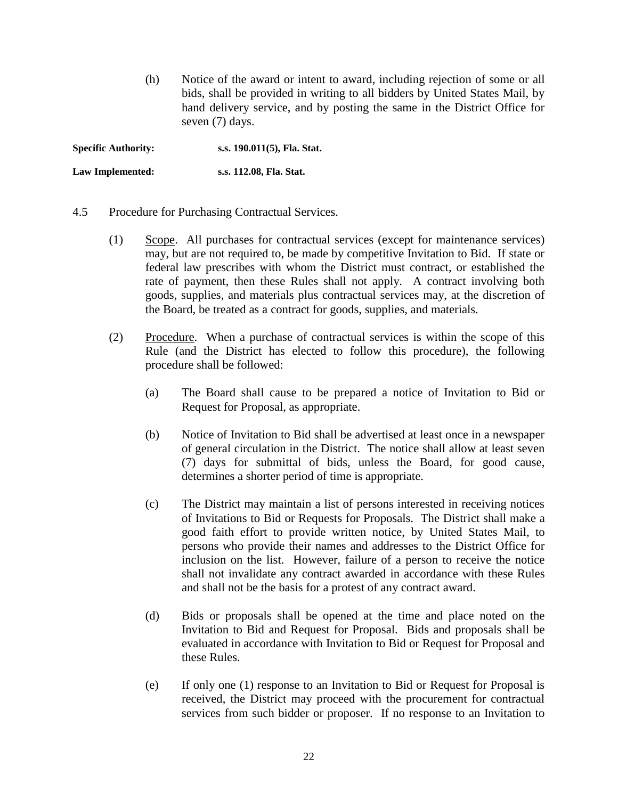(h) Notice of the award or intent to award, including rejection of some or all bids, shall be provided in writing to all bidders by United States Mail, by hand delivery service, and by posting the same in the District Office for seven (7) days.

**Specific Authority: s.s. 190.011(5), Fla. Stat.**

**Law Implemented: s.s. 112.08, Fla. Stat.**

- 4.5 Procedure for Purchasing Contractual Services.
	- (1) Scope. All purchases for contractual services (except for maintenance services) may, but are not required to, be made by competitive Invitation to Bid. If state or federal law prescribes with whom the District must contract, or established the rate of payment, then these Rules shall not apply. A contract involving both goods, supplies, and materials plus contractual services may, at the discretion of the Board, be treated as a contract for goods, supplies, and materials.
	- (2) Procedure. When a purchase of contractual services is within the scope of this Rule (and the District has elected to follow this procedure), the following procedure shall be followed:
		- (a) The Board shall cause to be prepared a notice of Invitation to Bid or Request for Proposal, as appropriate.
		- (b) Notice of Invitation to Bid shall be advertised at least once in a newspaper of general circulation in the District. The notice shall allow at least seven (7) days for submittal of bids, unless the Board, for good cause, determines a shorter period of time is appropriate.
		- (c) The District may maintain a list of persons interested in receiving notices of Invitations to Bid or Requests for Proposals. The District shall make a good faith effort to provide written notice, by United States Mail, to persons who provide their names and addresses to the District Office for inclusion on the list. However, failure of a person to receive the notice shall not invalidate any contract awarded in accordance with these Rules and shall not be the basis for a protest of any contract award.
		- (d) Bids or proposals shall be opened at the time and place noted on the Invitation to Bid and Request for Proposal. Bids and proposals shall be evaluated in accordance with Invitation to Bid or Request for Proposal and these Rules.
		- (e) If only one (1) response to an Invitation to Bid or Request for Proposal is received, the District may proceed with the procurement for contractual services from such bidder or proposer. If no response to an Invitation to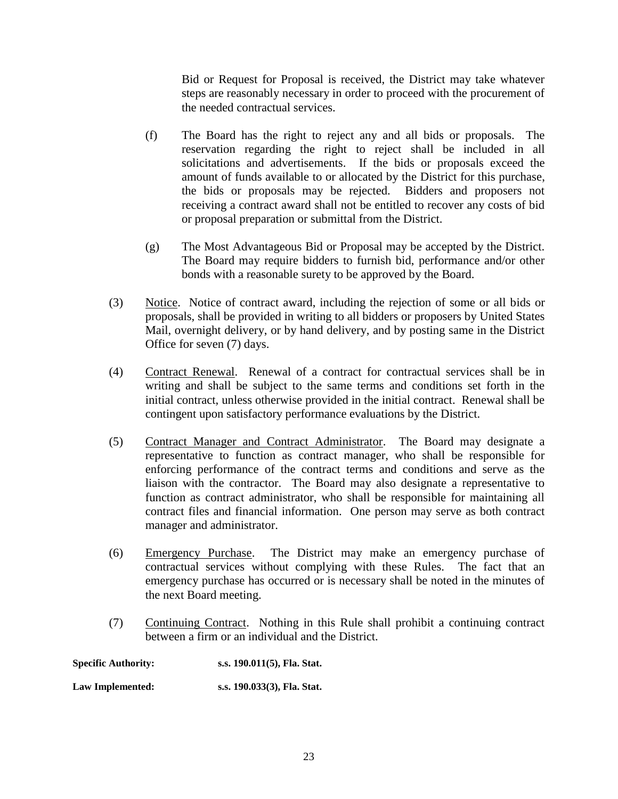Bid or Request for Proposal is received, the District may take whatever steps are reasonably necessary in order to proceed with the procurement of the needed contractual services.

- (f) The Board has the right to reject any and all bids or proposals. The reservation regarding the right to reject shall be included in all solicitations and advertisements. If the bids or proposals exceed the amount of funds available to or allocated by the District for this purchase, the bids or proposals may be rejected. Bidders and proposers not receiving a contract award shall not be entitled to recover any costs of bid or proposal preparation or submittal from the District.
- (g) The Most Advantageous Bid or Proposal may be accepted by the District. The Board may require bidders to furnish bid, performance and/or other bonds with a reasonable surety to be approved by the Board.
- (3) Notice. Notice of contract award, including the rejection of some or all bids or proposals, shall be provided in writing to all bidders or proposers by United States Mail, overnight delivery, or by hand delivery, and by posting same in the District Office for seven (7) days.
- (4) Contract Renewal. Renewal of a contract for contractual services shall be in writing and shall be subject to the same terms and conditions set forth in the initial contract, unless otherwise provided in the initial contract. Renewal shall be contingent upon satisfactory performance evaluations by the District.
- (5) Contract Manager and Contract Administrator. The Board may designate a representative to function as contract manager, who shall be responsible for enforcing performance of the contract terms and conditions and serve as the liaison with the contractor. The Board may also designate a representative to function as contract administrator, who shall be responsible for maintaining all contract files and financial information. One person may serve as both contract manager and administrator.
- (6) Emergency Purchase. The District may make an emergency purchase of contractual services without complying with these Rules. The fact that an emergency purchase has occurred or is necessary shall be noted in the minutes of the next Board meeting.
- (7) Continuing Contract. Nothing in this Rule shall prohibit a continuing contract between a firm or an individual and the District.

| <b>Specific Authority:</b> | s.s. 190.011(5), Fla. Stat. |
|----------------------------|-----------------------------|
| Law Implemented:           | s.s. 190.033(3), Fla. Stat. |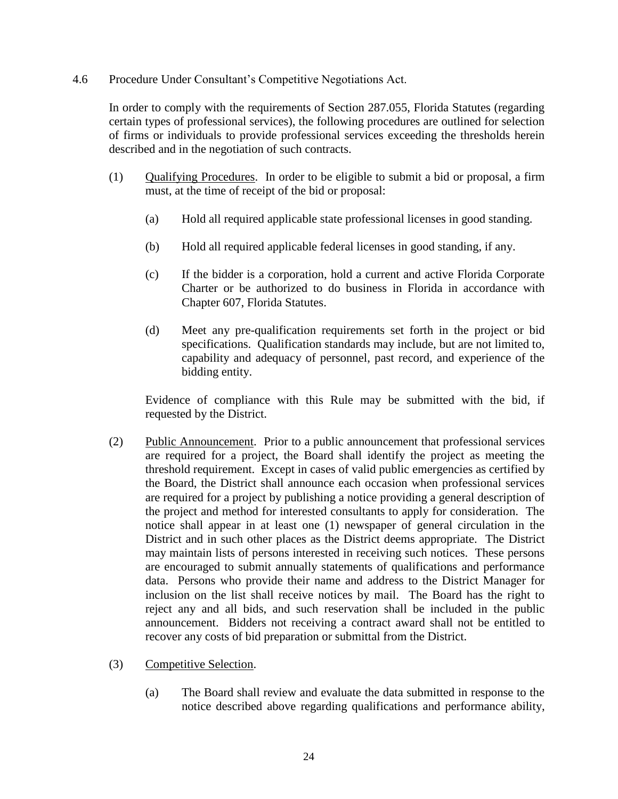4.6 Procedure Under Consultant's Competitive Negotiations Act.

In order to comply with the requirements of Section 287.055, Florida Statutes (regarding certain types of professional services), the following procedures are outlined for selection of firms or individuals to provide professional services exceeding the thresholds herein described and in the negotiation of such contracts.

- (1) Qualifying Procedures. In order to be eligible to submit a bid or proposal, a firm must, at the time of receipt of the bid or proposal:
	- (a) Hold all required applicable state professional licenses in good standing.
	- (b) Hold all required applicable federal licenses in good standing, if any.
	- (c) If the bidder is a corporation, hold a current and active Florida Corporate Charter or be authorized to do business in Florida in accordance with Chapter 607, Florida Statutes.
	- (d) Meet any pre-qualification requirements set forth in the project or bid specifications. Qualification standards may include, but are not limited to, capability and adequacy of personnel, past record, and experience of the bidding entity.

Evidence of compliance with this Rule may be submitted with the bid, if requested by the District.

- (2) Public Announcement. Prior to a public announcement that professional services are required for a project, the Board shall identify the project as meeting the threshold requirement. Except in cases of valid public emergencies as certified by the Board, the District shall announce each occasion when professional services are required for a project by publishing a notice providing a general description of the project and method for interested consultants to apply for consideration. The notice shall appear in at least one (1) newspaper of general circulation in the District and in such other places as the District deems appropriate. The District may maintain lists of persons interested in receiving such notices. These persons are encouraged to submit annually statements of qualifications and performance data. Persons who provide their name and address to the District Manager for inclusion on the list shall receive notices by mail. The Board has the right to reject any and all bids, and such reservation shall be included in the public announcement. Bidders not receiving a contract award shall not be entitled to recover any costs of bid preparation or submittal from the District.
- (3) Competitive Selection.
	- (a) The Board shall review and evaluate the data submitted in response to the notice described above regarding qualifications and performance ability,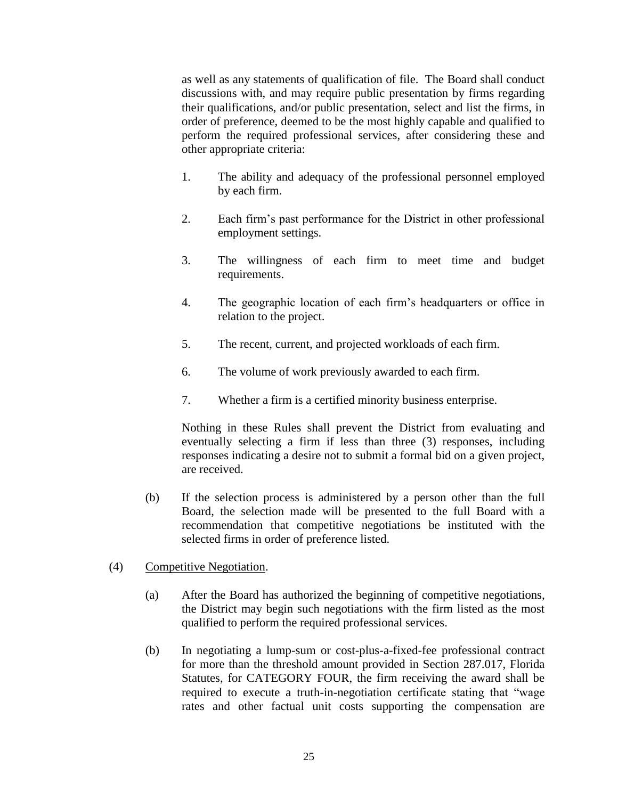as well as any statements of qualification of file. The Board shall conduct discussions with, and may require public presentation by firms regarding their qualifications, and/or public presentation, select and list the firms, in order of preference, deemed to be the most highly capable and qualified to perform the required professional services, after considering these and other appropriate criteria:

- 1. The ability and adequacy of the professional personnel employed by each firm.
- 2. Each firm's past performance for the District in other professional employment settings.
- 3. The willingness of each firm to meet time and budget requirements.
- 4. The geographic location of each firm's headquarters or office in relation to the project.
- 5. The recent, current, and projected workloads of each firm.
- 6. The volume of work previously awarded to each firm.
- 7. Whether a firm is a certified minority business enterprise.

Nothing in these Rules shall prevent the District from evaluating and eventually selecting a firm if less than three (3) responses, including responses indicating a desire not to submit a formal bid on a given project, are received.

- (b) If the selection process is administered by a person other than the full Board, the selection made will be presented to the full Board with a recommendation that competitive negotiations be instituted with the selected firms in order of preference listed.
- (4) Competitive Negotiation.
	- (a) After the Board has authorized the beginning of competitive negotiations, the District may begin such negotiations with the firm listed as the most qualified to perform the required professional services.
	- (b) In negotiating a lump-sum or cost-plus-a-fixed-fee professional contract for more than the threshold amount provided in Section 287.017, Florida Statutes, for CATEGORY FOUR, the firm receiving the award shall be required to execute a truth-in-negotiation certificate stating that "wage rates and other factual unit costs supporting the compensation are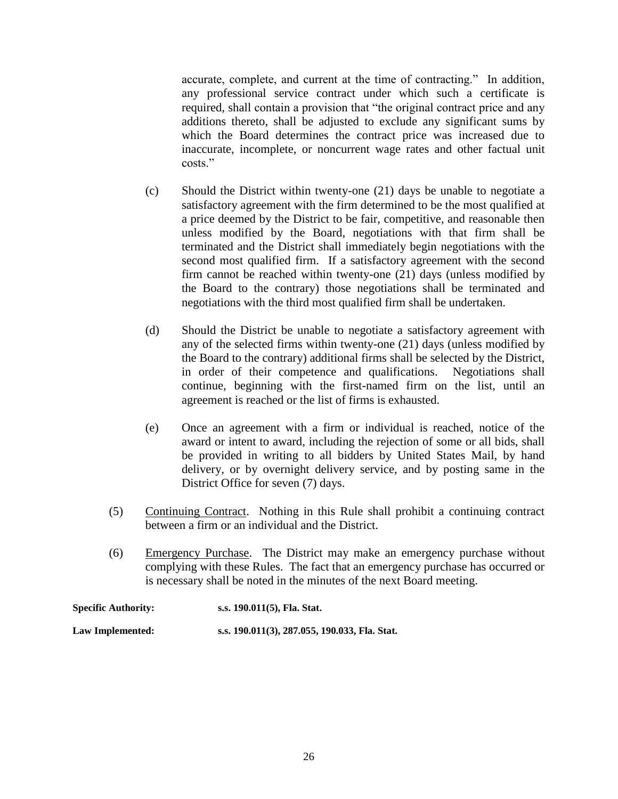accurate, complete, and current at the time of contracting." In addition, any professional service contract under which such a certificate is required, shall contain a provision that "the original contract price and any additions thereto, shall be adjusted to exclude any significant sums by which the Board determines the contract price was increased due to inaccurate, incomplete, or noncurrent wage rates and other factual unit costs<sup>"</sup>

- (c) Should the District within twenty-one (21) days be unable to negotiate a satisfactory agreement with the firm determined to be the most qualified at a price deemed by the District to be fair, competitive, and reasonable then unless modified by the Board, negotiations with that firm shall be terminated and the District shall immediately begin negotiations with the second most qualified firm. If a satisfactory agreement with the second firm cannot be reached within twenty-one (21) days (unless modified by the Board to the contrary) those negotiations shall be terminated and negotiations with the third most qualified firm shall be undertaken.
- (d) Should the District be unable to negotiate a satisfactory agreement with any of the selected firms within twenty-one (21) days (unless modified by the Board to the contrary) additional firms shall be selected by the District, in order of their competence and qualifications. Negotiations shall continue, beginning with the first-named firm on the list, until an agreement is reached or the list of firms is exhausted.
- (e) Once an agreement with a firm or individual is reached, notice of the award or intent to award, including the rejection of some or all bids, shall be provided in writing to all bidders by United States Mail, by hand delivery, or by overnight delivery service, and by posting same in the District Office for seven (7) days.
- (5) Continuing Contract. Nothing in this Rule shall prohibit a continuing contract between a firm or an individual and the District.
- (6) Emergency Purchase. The District may make an emergency purchase without complying with these Rules. The fact that an emergency purchase has occurred or is necessary shall be noted in the minutes of the next Board meeting.

| <b>Specific Authority:</b> | s.s. 190.011(5), Fla. Stat.                   |
|----------------------------|-----------------------------------------------|
| Law Implemented:           | s.s. 190.011(3), 287.055, 190.033, Fla. Stat. |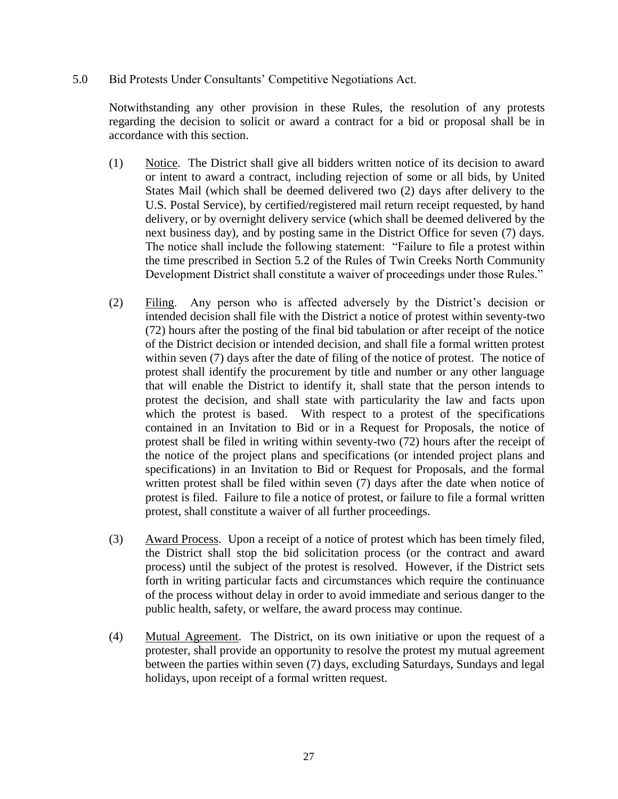5.0 Bid Protests Under Consultants' Competitive Negotiations Act.

Notwithstanding any other provision in these Rules, the resolution of any protests regarding the decision to solicit or award a contract for a bid or proposal shall be in accordance with this section.

- (1) Notice. The District shall give all bidders written notice of its decision to award or intent to award a contract, including rejection of some or all bids, by United States Mail (which shall be deemed delivered two (2) days after delivery to the U.S. Postal Service), by certified/registered mail return receipt requested, by hand delivery, or by overnight delivery service (which shall be deemed delivered by the next business day), and by posting same in the District Office for seven (7) days. The notice shall include the following statement: "Failure to file a protest within the time prescribed in Section 5.2 of the Rules of Twin Creeks North Community Development District shall constitute a waiver of proceedings under those Rules."
- (2) Filing. Any person who is affected adversely by the District's decision or intended decision shall file with the District a notice of protest within seventy-two (72) hours after the posting of the final bid tabulation or after receipt of the notice of the District decision or intended decision, and shall file a formal written protest within seven (7) days after the date of filing of the notice of protest. The notice of protest shall identify the procurement by title and number or any other language that will enable the District to identify it, shall state that the person intends to protest the decision, and shall state with particularity the law and facts upon which the protest is based. With respect to a protest of the specifications contained in an Invitation to Bid or in a Request for Proposals, the notice of protest shall be filed in writing within seventy-two (72) hours after the receipt of the notice of the project plans and specifications (or intended project plans and specifications) in an Invitation to Bid or Request for Proposals, and the formal written protest shall be filed within seven (7) days after the date when notice of protest is filed. Failure to file a notice of protest, or failure to file a formal written protest, shall constitute a waiver of all further proceedings.
- (3) Award Process. Upon a receipt of a notice of protest which has been timely filed, the District shall stop the bid solicitation process (or the contract and award process) until the subject of the protest is resolved. However, if the District sets forth in writing particular facts and circumstances which require the continuance of the process without delay in order to avoid immediate and serious danger to the public health, safety, or welfare, the award process may continue.
- (4) Mutual Agreement. The District, on its own initiative or upon the request of a protester, shall provide an opportunity to resolve the protest my mutual agreement between the parties within seven (7) days, excluding Saturdays, Sundays and legal holidays, upon receipt of a formal written request.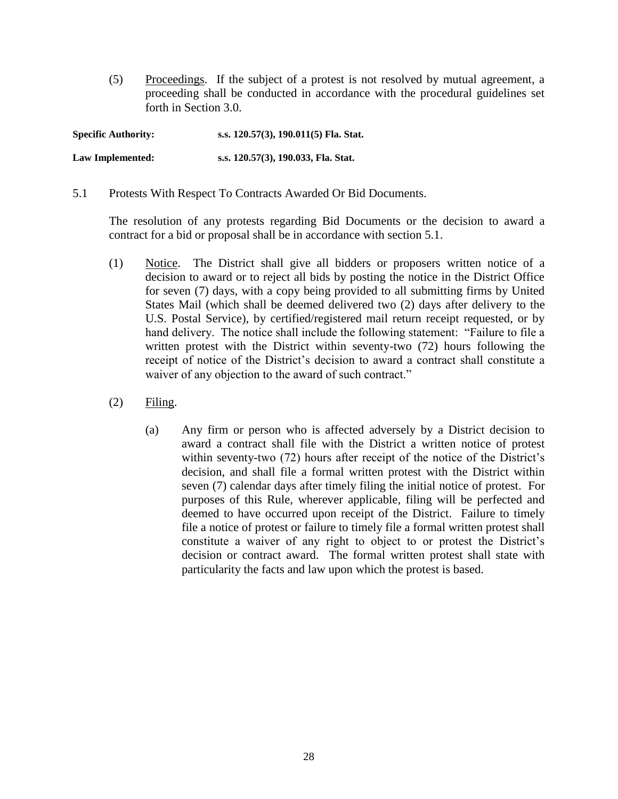(5) Proceedings. If the subject of a protest is not resolved by mutual agreement, a proceeding shall be conducted in accordance with the procedural guidelines set forth in Section 3.0.

**Specific Authority: s.s. 120.57(3), 190.011(5) Fla. Stat.**

**Law Implemented: s.s. 120.57(3), 190.033, Fla. Stat.** 

5.1 Protests With Respect To Contracts Awarded Or Bid Documents.

The resolution of any protests regarding Bid Documents or the decision to award a contract for a bid or proposal shall be in accordance with section 5.1.

- (1) Notice. The District shall give all bidders or proposers written notice of a decision to award or to reject all bids by posting the notice in the District Office for seven (7) days, with a copy being provided to all submitting firms by United States Mail (which shall be deemed delivered two (2) days after delivery to the U.S. Postal Service), by certified/registered mail return receipt requested, or by hand delivery. The notice shall include the following statement: "Failure to file a written protest with the District within seventy-two (72) hours following the receipt of notice of the District's decision to award a contract shall constitute a waiver of any objection to the award of such contract."
- (2) Filing.
	- (a) Any firm or person who is affected adversely by a District decision to award a contract shall file with the District a written notice of protest within seventy-two (72) hours after receipt of the notice of the District's decision, and shall file a formal written protest with the District within seven (7) calendar days after timely filing the initial notice of protest. For purposes of this Rule, wherever applicable, filing will be perfected and deemed to have occurred upon receipt of the District. Failure to timely file a notice of protest or failure to timely file a formal written protest shall constitute a waiver of any right to object to or protest the District's decision or contract award. The formal written protest shall state with particularity the facts and law upon which the protest is based.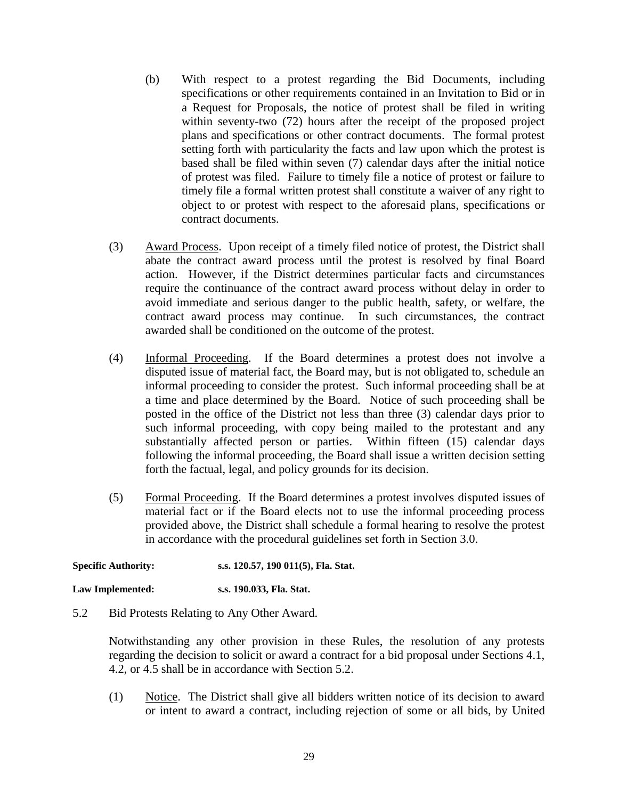- (b) With respect to a protest regarding the Bid Documents, including specifications or other requirements contained in an Invitation to Bid or in a Request for Proposals, the notice of protest shall be filed in writing within seventy-two (72) hours after the receipt of the proposed project plans and specifications or other contract documents. The formal protest setting forth with particularity the facts and law upon which the protest is based shall be filed within seven (7) calendar days after the initial notice of protest was filed. Failure to timely file a notice of protest or failure to timely file a formal written protest shall constitute a waiver of any right to object to or protest with respect to the aforesaid plans, specifications or contract documents.
- (3) Award Process. Upon receipt of a timely filed notice of protest, the District shall abate the contract award process until the protest is resolved by final Board action. However, if the District determines particular facts and circumstances require the continuance of the contract award process without delay in order to avoid immediate and serious danger to the public health, safety, or welfare, the contract award process may continue. In such circumstances, the contract awarded shall be conditioned on the outcome of the protest.
- (4) Informal Proceeding. If the Board determines a protest does not involve a disputed issue of material fact, the Board may, but is not obligated to, schedule an informal proceeding to consider the protest. Such informal proceeding shall be at a time and place determined by the Board. Notice of such proceeding shall be posted in the office of the District not less than three (3) calendar days prior to such informal proceeding, with copy being mailed to the protestant and any substantially affected person or parties. Within fifteen (15) calendar days following the informal proceeding, the Board shall issue a written decision setting forth the factual, legal, and policy grounds for its decision.
- (5) Formal Proceeding. If the Board determines a protest involves disputed issues of material fact or if the Board elects not to use the informal proceeding process provided above, the District shall schedule a formal hearing to resolve the protest in accordance with the procedural guidelines set forth in Section 3.0.

**Specific Authority: s.s. 120.57, 190 011(5), Fla. Stat.**

**Law Implemented: s.s. 190.033, Fla. Stat.**

5.2 Bid Protests Relating to Any Other Award.

Notwithstanding any other provision in these Rules, the resolution of any protests regarding the decision to solicit or award a contract for a bid proposal under Sections 4.1, 4.2, or 4.5 shall be in accordance with Section 5.2.

(1) Notice. The District shall give all bidders written notice of its decision to award or intent to award a contract, including rejection of some or all bids, by United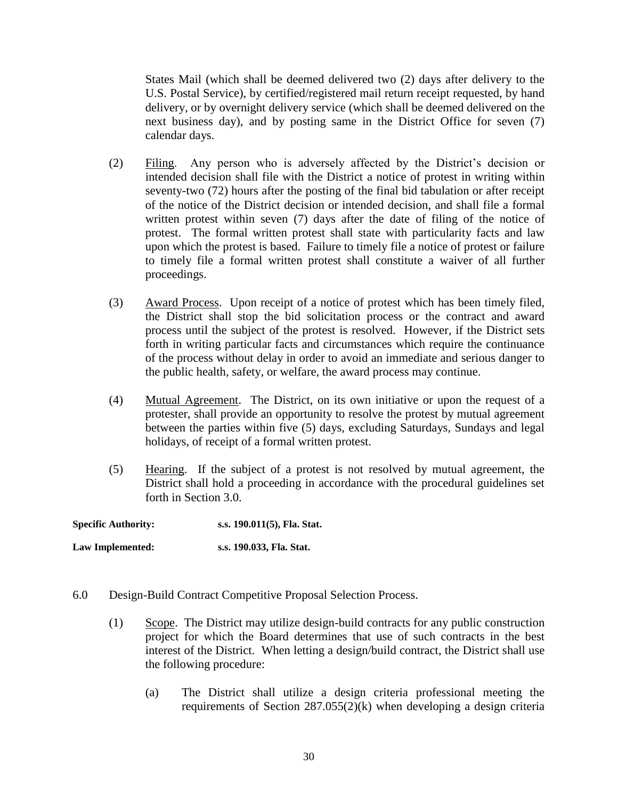States Mail (which shall be deemed delivered two (2) days after delivery to the U.S. Postal Service), by certified/registered mail return receipt requested, by hand delivery, or by overnight delivery service (which shall be deemed delivered on the next business day), and by posting same in the District Office for seven (7) calendar days.

- (2) Filing. Any person who is adversely affected by the District's decision or intended decision shall file with the District a notice of protest in writing within seventy-two (72) hours after the posting of the final bid tabulation or after receipt of the notice of the District decision or intended decision, and shall file a formal written protest within seven (7) days after the date of filing of the notice of protest. The formal written protest shall state with particularity facts and law upon which the protest is based. Failure to timely file a notice of protest or failure to timely file a formal written protest shall constitute a waiver of all further proceedings.
- (3) Award Process. Upon receipt of a notice of protest which has been timely filed, the District shall stop the bid solicitation process or the contract and award process until the subject of the protest is resolved. However, if the District sets forth in writing particular facts and circumstances which require the continuance of the process without delay in order to avoid an immediate and serious danger to the public health, safety, or welfare, the award process may continue.
- (4) Mutual Agreement. The District, on its own initiative or upon the request of a protester, shall provide an opportunity to resolve the protest by mutual agreement between the parties within five (5) days, excluding Saturdays, Sundays and legal holidays, of receipt of a formal written protest.
- (5) Hearing. If the subject of a protest is not resolved by mutual agreement, the District shall hold a proceeding in accordance with the procedural guidelines set forth in Section 3.0.

**Specific Authority: s.s. 190.011(5), Fla. Stat. Law Implemented: s.s. 190.033, Fla. Stat.**

- 6.0 Design-Build Contract Competitive Proposal Selection Process.
	- (1) Scope. The District may utilize design-build contracts for any public construction project for which the Board determines that use of such contracts in the best interest of the District. When letting a design/build contract, the District shall use the following procedure:
		- (a) The District shall utilize a design criteria professional meeting the requirements of Section 287.055(2)(k) when developing a design criteria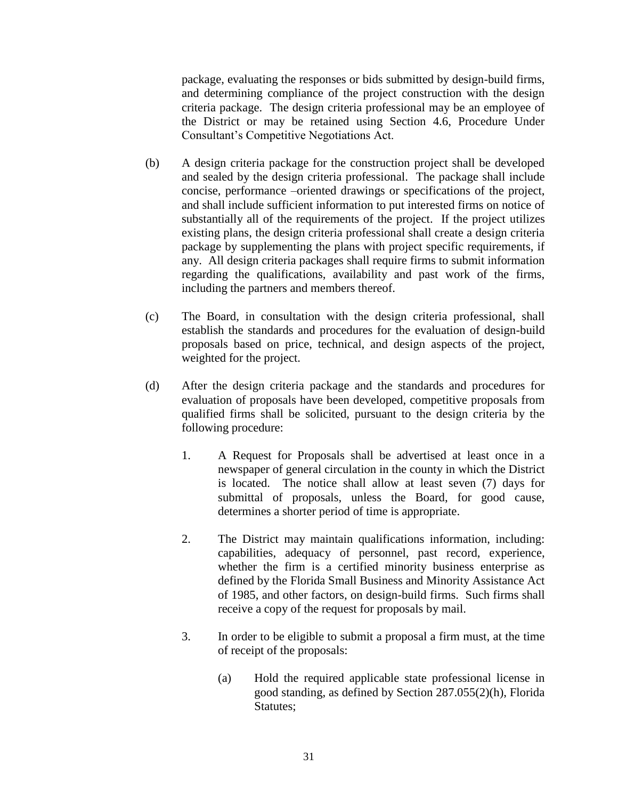package, evaluating the responses or bids submitted by design-build firms, and determining compliance of the project construction with the design criteria package. The design criteria professional may be an employee of the District or may be retained using Section 4.6, Procedure Under Consultant's Competitive Negotiations Act.

- (b) A design criteria package for the construction project shall be developed and sealed by the design criteria professional. The package shall include concise, performance –oriented drawings or specifications of the project, and shall include sufficient information to put interested firms on notice of substantially all of the requirements of the project. If the project utilizes existing plans, the design criteria professional shall create a design criteria package by supplementing the plans with project specific requirements, if any. All design criteria packages shall require firms to submit information regarding the qualifications, availability and past work of the firms, including the partners and members thereof.
- (c) The Board, in consultation with the design criteria professional, shall establish the standards and procedures for the evaluation of design-build proposals based on price, technical, and design aspects of the project, weighted for the project.
- (d) After the design criteria package and the standards and procedures for evaluation of proposals have been developed, competitive proposals from qualified firms shall be solicited, pursuant to the design criteria by the following procedure:
	- 1. A Request for Proposals shall be advertised at least once in a newspaper of general circulation in the county in which the District is located. The notice shall allow at least seven (7) days for submittal of proposals, unless the Board, for good cause, determines a shorter period of time is appropriate.
	- 2. The District may maintain qualifications information, including: capabilities, adequacy of personnel, past record, experience, whether the firm is a certified minority business enterprise as defined by the Florida Small Business and Minority Assistance Act of 1985, and other factors, on design-build firms. Such firms shall receive a copy of the request for proposals by mail.
	- 3. In order to be eligible to submit a proposal a firm must, at the time of receipt of the proposals:
		- (a) Hold the required applicable state professional license in good standing, as defined by Section 287.055(2)(h), Florida Statutes;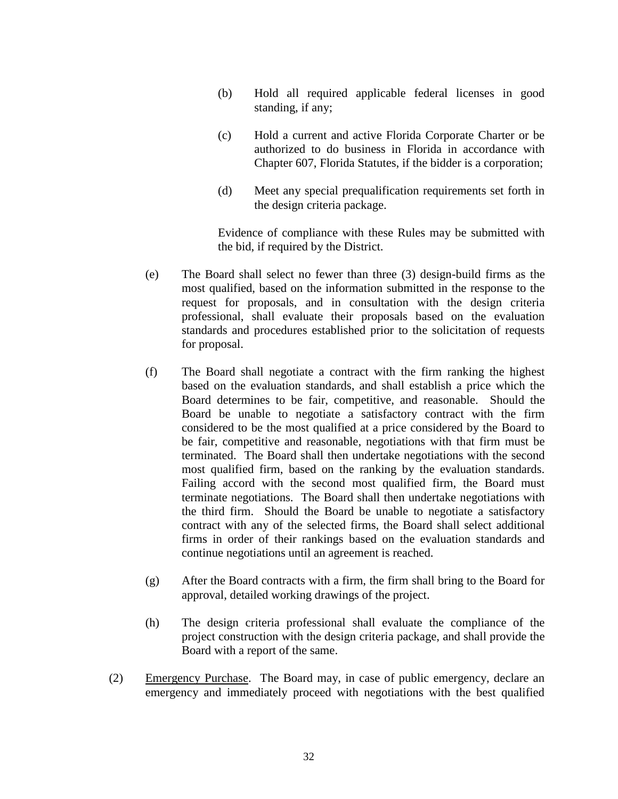- (b) Hold all required applicable federal licenses in good standing, if any;
- (c) Hold a current and active Florida Corporate Charter or be authorized to do business in Florida in accordance with Chapter 607, Florida Statutes, if the bidder is a corporation;
- (d) Meet any special prequalification requirements set forth in the design criteria package.

Evidence of compliance with these Rules may be submitted with the bid, if required by the District.

- (e) The Board shall select no fewer than three (3) design-build firms as the most qualified, based on the information submitted in the response to the request for proposals, and in consultation with the design criteria professional, shall evaluate their proposals based on the evaluation standards and procedures established prior to the solicitation of requests for proposal.
- (f) The Board shall negotiate a contract with the firm ranking the highest based on the evaluation standards, and shall establish a price which the Board determines to be fair, competitive, and reasonable. Should the Board be unable to negotiate a satisfactory contract with the firm considered to be the most qualified at a price considered by the Board to be fair, competitive and reasonable, negotiations with that firm must be terminated. The Board shall then undertake negotiations with the second most qualified firm, based on the ranking by the evaluation standards. Failing accord with the second most qualified firm, the Board must terminate negotiations. The Board shall then undertake negotiations with the third firm. Should the Board be unable to negotiate a satisfactory contract with any of the selected firms, the Board shall select additional firms in order of their rankings based on the evaluation standards and continue negotiations until an agreement is reached.
- (g) After the Board contracts with a firm, the firm shall bring to the Board for approval, detailed working drawings of the project.
- (h) The design criteria professional shall evaluate the compliance of the project construction with the design criteria package, and shall provide the Board with a report of the same.
- (2) Emergency Purchase. The Board may, in case of public emergency, declare an emergency and immediately proceed with negotiations with the best qualified